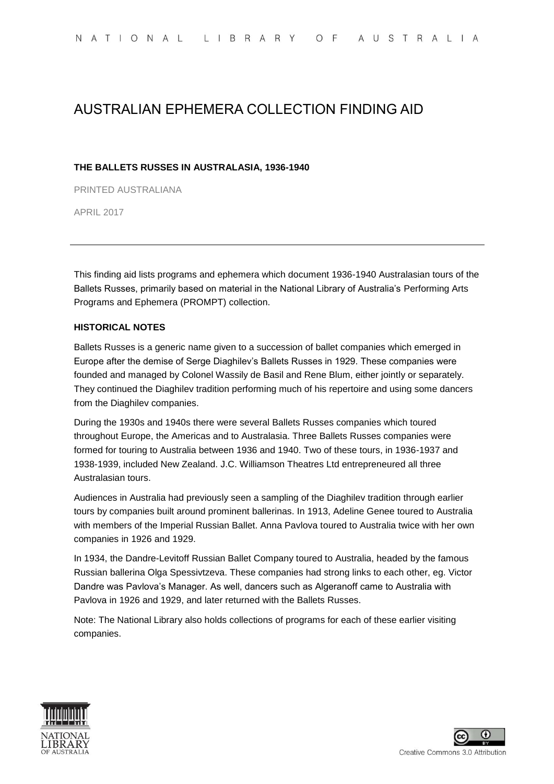# AUSTRALIAN EPHEMERA COLLECTION FINDING AID

### **THE BALLETS RUSSES IN AUSTRALASIA, 1936-1940**

PRINTED AUSTRALIANA

APRIL 2017

This finding aid lists programs and ephemera which document 1936-1940 Australasian tours of the Ballets Russes, primarily based on material in the National Library of Australia's Performing Arts Programs and Ephemera (PROMPT) collection.

### **HISTORICAL NOTES**

Ballets Russes is a generic name given to a succession of ballet companies which emerged in Europe after the demise of Serge Diaghilev's Ballets Russes in 1929. These companies were founded and managed by Colonel Wassily de Basil and Rene Blum, either jointly or separately. They continued the Diaghilev tradition performing much of his repertoire and using some dancers from the Diaghilev companies.

During the 1930s and 1940s there were several Ballets Russes companies which toured throughout Europe, the Americas and to Australasia. Three Ballets Russes companies were formed for touring to Australia between 1936 and 1940. Two of these tours, in 1936-1937 and 1938-1939, included New Zealand. J.C. Williamson Theatres Ltd entrepreneured all three Australasian tours.

Audiences in Australia had previously seen a sampling of the Diaghilev tradition through earlier tours by companies built around prominent ballerinas. In 1913, Adeline Genee toured to Australia with members of the Imperial Russian Ballet. Anna Pavlova toured to Australia twice with her own companies in 1926 and 1929.

In 1934, the Dandre-Levitoff Russian Ballet Company toured to Australia, headed by the famous Russian ballerina Olga Spessivtzeva. These companies had strong links to each other, eg. Victor Dandre was Pavlova's Manager. As well, dancers such as Algeranoff came to Australia with Pavlova in 1926 and 1929, and later returned with the Ballets Russes.

Note: The National Library also holds collections of programs for each of these earlier visiting companies.



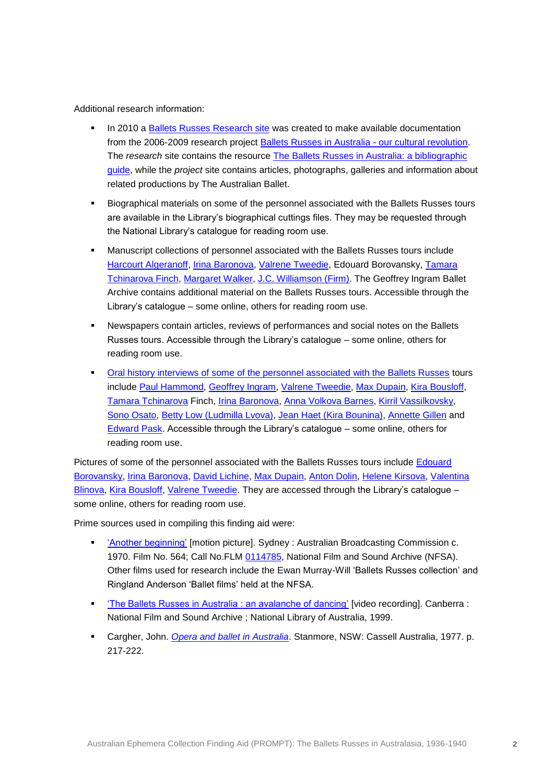Additional research information:

- In 2010 a [Ballets Russes Research site](http://www.nla.gov.au/balletsrussesresearch/) was created to make available documentation from the 2006-2009 research project [Ballets Russes in Australia -](http://www.nla.gov.au/balletsrusses/) our cultural revolution. The *research* site contains the resource [The Ballets Russes in Australia: a bibliographic](http://www.nla.gov.au/balletsrussesresearch/legacy-celebration/the-ballets-russes-in-australia-a-bibliographic-guide/)  [guide,](http://www.nla.gov.au/balletsrussesresearch/legacy-celebration/the-ballets-russes-in-australia-a-bibliographic-guide/) while the *project* site contains articles, photographs, galleries and information about related productions by The Australian Ballet.
- Biographical materials on some of the personnel associated with the Ballets Russes tours are available in the Library's biographical cuttings files. They may be requested through the National Library's catalogue for reading room use.
- Manuscript collections of personnel associated with the Ballets Russes tours include [Harcourt Algeranoff,](http://catalogue.nla.gov.au/Record/3008205?max=1&offset=1&lookfor=subject%3A%22Algeranoff%2C%20Harcourt%20%2C%20-%201903-1967%20-%20Archives.%22) [Irina Baronova,](http://catalogue.nla.gov.au/Record/4557216?lookfor=irina%20baronova%20%23%5bformat:Manuscript%5d&offset=1&max=1) [Valrene Tweedie,](http://nla.gov.au/nla.cat-vn4700520) Edouard Borovansky, [Tamara](http://catalogue.nla.gov.au/Record/799297?lookfor=tamara%20tchinarova%20finch%20%23%5bformat:Manuscript%5d&offset=1&max=2)  [Tchinarova Finch,](http://catalogue.nla.gov.au/Record/799297?lookfor=tamara%20tchinarova%20finch%20%23%5bformat:Manuscript%5d&offset=1&max=2) [Margaret Walker,](http://catalogue.nla.gov.au/Record/561487?max=1&offset=1&lookfor=subject%3A%22Walker%2C%20Margaret%2C%20-%201920-1996%20-%20Archives.%22) [J.C. Williamson \(Firm\).](http://catalogue.nla.gov.au/Search/Home?lookfor=J.C.+Williamson+%28Firm%29&filter%5b%5d=format:%22Manuscript%22) The Geoffrey Ingram Ballet Archive contains additional material on the Ballets Russes tours. Accessible through the Library's catalogue – some online, others for reading room use.
- Newspapers contain articles, reviews of performances and social notes on the Ballets Russes tours. Accessible through the Library's catalogue – some online, others for reading room use.
- **[Oral history interviews of some of the personnel associated with the Ballets Russes](http://catalogue.nla.gov.au/Search/Home?lookfor=interview+Ballets+Russes&filter%5b%5d=format:%22Audio%22) tours** include [Paul Hammond,](http://catalogue.nla.gov.au/Record/2420420?max=1&offset=1&lookfor=subject%3A%22Hammond%2C%20Paul%2C%20-%201922-2010%20-%20Interviews.%22) [Geoffrey Ingram,](http://catalogue.nla.gov.au/Record/2680392?max=1&offset=1&lookfor=subject%3A%22Ingram%2C%20Geoffrey%2C%20-%201924-2003%20-%20Interviews.%22) [Valrene Tweedie,](http://catalogue.nla.gov.au/Search/Home?lookfor=subject:%22Tweedie%2C%20Valrene%2C%20-%201925-2008%20-%20Interviews.%22&iknowwhatimean=1) [Max Dupain,](http://catalogue.nla.gov.au/Search/Home?lookfor=subject:%22Dupain%2C%20Max%2C%20-%201911-1992%20-%20Interviews.%22&iknowwhatimean=1) [Kira Bousloff,](http://catalogue.nla.gov.au/Record/2283670?max=1&offset=1&lookfor=subject%3A%22Bousloff%2C%20Kira%2C%20-%201914-2001%20-%20Interviews.%22) [Tamara Tchinarova](http://catalogue.nla.gov.au/Record/404439?max=1&offset=1&lookfor=subject%3A%22Finch%2C%20Tamara%2C%20-%201919-%20-%20Interviews.%22) Finch, [Irina Baronova,](http://catalogue.nla.gov.au/Search/Home?lookfor=subject:%22Baronova%2C%20Irina%2C%20-%201919-%202008%20-%20Interviews.%22&iknowwhatimean=1) [Anna Volkova Barnes,](http://catalogue.nla.gov.au/Record/3415846?lookfor=Anna%20Volkova&offset=1&max=40) [Kirril Vassilkovsky,](http://catalogue.nla.gov.au/Record/3791501?lookfor=author:%22vassilkovsky%20kiril%22%20AND%20title:%22kiril%20vassilkovsky%20interviewed%20by%20bill%20stephens%22&offset=1&max=1) [Sono Osato,](http://catalogue.nla.gov.au/Record/4615075?lookfor=sono%20osato&offset=2&max=74) [Betty Low \(Ludmilla Lvova\),](http://catalogue.nla.gov.au/Record/4615083?lookfor=betty%20low&offset=1&max=93) [Jean Haet \(Kira Bounina\),](http://catalogue.nla.gov.au/Record/4082198?lookfor=jean%20haet&offset=1&max=1) [Annette Gillen](http://catalogue.nla.gov.au/Record/3959892?lookfor=annette%20gillen&offset=1&max=3) and [Edward Pask.](http://catalogue.nla.gov.au/Search/Home?lookfor=subject:%22Pask%2C%20Edward%20H.%20-%20%28Edward%20Henry%29%2C%20-%201940-%20-%20Interviews.%22&iknowwhatimean=1) Accessible through the Library's catalogue – some online, others for reading room use.

Pictures of some of the personnel associated with the Ballets Russes tours include [Edouard](http://catalogue.nla.gov.au/Search/Home?lookfor=Edouard+Borovansky&filter%5b%5d=format:%22Picture%22)  [Borovansky,](http://catalogue.nla.gov.au/Search/Home?lookfor=Edouard+Borovansky&filter%5b%5d=format:%22Picture%22) [Irina Baronova,](http://catalogue.nla.gov.au/Search/Home?lookfor=Irina+Baronova&type=all&limit%5b%5d=&submit=Find&filter%5b%5d=format:%22Picture%22) [David Lichine,](http://catalogue.nla.gov.au/Search/Home?lookfor=David+Lichine&filter%5b%5d=format:%22Picture%22) [Max Dupain,](http://catalogue.nla.gov.au/Search/Home?lookfor=subject:%22Dupain%2C%20Max%2C%20-%201911-1992%20-%20Portraits.%22&iknowwhatimean=1) [Anton Dolin,](http://catalogue.nla.gov.au/Search/Home?lookfor=subject:%22Dolin%2C%20Anton%2C%20-%20Sir%2C%20-%201904-1983%20-%20Portraits.%22&iknowwhatimean=1) [Helene Kirsova,](http://catalogue.nla.gov.au/Search/Home?lookfor=subject:%22Kirsova%2C%20He%CC%81le%CC%80ne%2C%20-%201910-1962%20-%20Portraits.%22&iknowwhatimean=1) [Valentina](http://catalogue.nla.gov.au/Search/Home?lookfor=subject:%22Blinova%2C%20Valentina%20-%20Portraits.%22&iknowwhatimean=1)  [Blinova,](http://catalogue.nla.gov.au/Search/Home?lookfor=subject:%22Blinova%2C%20Valentina%20-%20Portraits.%22&iknowwhatimean=1) [Kira Bousloff,](http://catalogue.nla.gov.au/Search/Home?lookfor=subject:%22Bousloff%2C%20Kira%2C%20-%201914-2001%20-%20Portraits.%22&iknowwhatimean=1) [Valrene Tweedie.](http://catalogue.nla.gov.au/Search/Home?lookfor=subject:%22Tweedie%2C%20Valrene%2C%20-%201925-2008%20-%20Portraits.%22&iknowwhatimean=1) They are accessed through the Library's catalogue some online, others for reading room use.

Prime sources used in compiling this finding aid were:

- ['Another beginning'](http://colsearch.nfsa.gov.au/nfsa/search/display/display.w3p;adv=;group=;groupequals=;holdingType=;page=0;parentid=;query=ANOTHER%20beginning%27%20ballets%20russes;querytype=;rec=0;resCount=10) [motion picture]. Sydney : Australian Broadcasting Commission c. 1970. Film No. 564; Call No.FLM [0114785,](http://trove.nla.gov.au/work/22042847?q=%22another+beginning%22&c=music&versionId=26583012) National Film and Sound Archive (NFSA). Other films used for research include the Ewan Murray-Will 'Ballets Russes collection' and Ringland Anderson 'Ballet films' held at the NFSA.
- ['The Ballets Russes in Australia : an avalanche of dancing'](http://nla.gov.au/nla.cat-vn1404986) [video recording]. Canberra : National Film and Sound Archive ; National Library of Australia, 1999.
- Cargher, John. *[Opera and ballet in Australia](http://nla.gov.au/anbd.bib-an1155411)*. Stanmore, NSW: Cassell Australia, 1977. p. 217-222.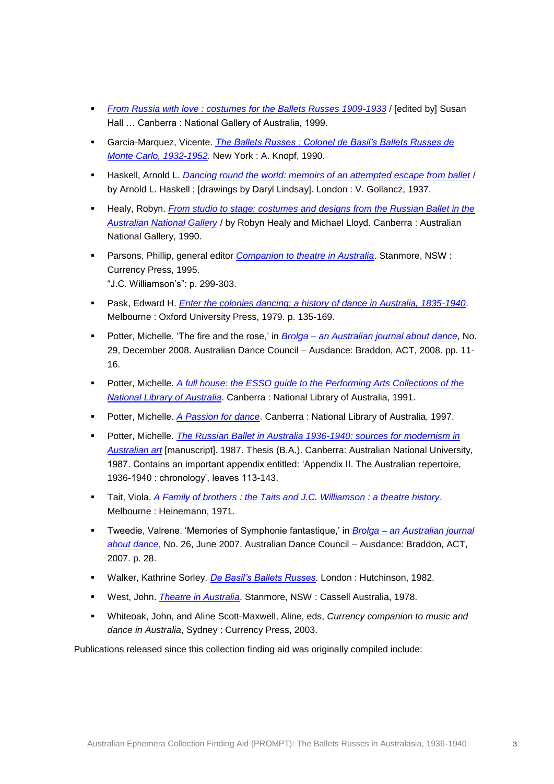- *[From Russia with love : costumes for the Ballets Russes 1909-1933](http://nla.gov.au/anbd.bib-an21560146)* / [edited by] Susan Hall … Canberra : National Gallery of Australia, 1999.
- Garcia-Marquez, Vicente. *[The Ballets Russes : Colonel de Basil's Ballets Russes de](http://nla.gov.au/anbd.bib-an6638820)  [Monte Carlo, 1932-1952](http://nla.gov.au/anbd.bib-an6638820)*. New York : A. Knopf, 1990.
- Haskell, Arnold L. *[Dancing round the world: memoirs of an attempted escape from ballet](http://nla.gov.au/anbd.bib-an6515242)* / by Arnold L. Haskell ; [drawings by Daryl Lindsay]. London : V. Gollancz, 1937.
- Healy, Robyn. *[From studio to stage: costumes and designs from the Russian Ballet in the](http://nla.gov.au/anbd.bib-an7664032)  [Australian National Gallery](http://nla.gov.au/anbd.bib-an7664032)* / by Robyn Healy and Michael Lloyd. Canberra : Australian National Gallery, 1990.
- Parsons, Phillip, general editor *[Companion to theatre in Australia](http://nla.gov.au/anbd.bib-an10756889)*. Stanmore, NSW : Currency Press, 1995. "J.C. Williamson's": p. 299-303.
- Pask, Edward H. *Enter [the colonies dancing: a history of dance in Australia, 1835-1940](http://nla.gov.au/anbd.bib-an21443268)*. Melbourne : Oxford University Press, 1979. p. 135-169.
- Potter, Michelle. 'The fire and the rose,' in *Brolga – [an Australian journal about](http://nla.gov.au/nla.cat-vn2105194) dance*, No. 29, December 2008. Australian Dance Council – Ausdance: Braddon, ACT, 2008. pp. 11- 16.
- **Potter, Michelle.** A full house: the ESSO quide to the Performing Arts Collections of the *[National Library of Australia](http://nla.gov.au/anbd.bib-an8393493)*. Canberra : National Library of Australia, 1991.
- Potter, Michelle. *[A Passion for dance](http://nla.gov.au/nla.cat-vn3021496)*. Canberra : National Library of Australia, 1997.
- **Potter, Michelle.** *The Russian Ballet in Australia 1936-1940: sources for modernism in [Australian art](http://nla.gov.au/anbd.bib-an11845459)* [manuscript]. 1987. Thesis (B.A.). Canberra: Australian National University, 1987. Contains an important appendix entitled: 'Appendix II. The Australian repertoire, 1936-1940 : chronology', leaves 113-143.
- Tait, Viola. *[A Family of brothers : the Taits and J.C. Williamson : a theatre history](http://nla.gov.au/nla.cat-vn1009865)*. Melbourne : Heinemann, 1971.
- Tweedie, Valrene. 'Memories of Symphonie fantastique,' in *Brolga – [an Australian journal](http://nla.gov.au/nla.cat-vn2105194)  [about dance](http://nla.gov.au/nla.cat-vn2105194)*, No. 26, June 2007. Australian Dance Council – Ausdance: Braddon, ACT, 2007. p. 28.
- Walker, Kathrine Sorley. *[De Basil's Ballets Russes](http://nla.gov.au/anbd.bib-an23911555)*. London : Hutchinson, 1982.
- West, John. *[Theatre in Australia](http://nla.gov.au/nla.cat-vn2644026)*. Stanmore, NSW : Cassell Australia, 1978.
- Whiteoak, John, and Aline Scott-Maxwell, Aline, eds, *Currency companion to music and dance in Australia*, Sydney : Currency Press, 2003.

Publications released since this collection finding aid was originally compiled include: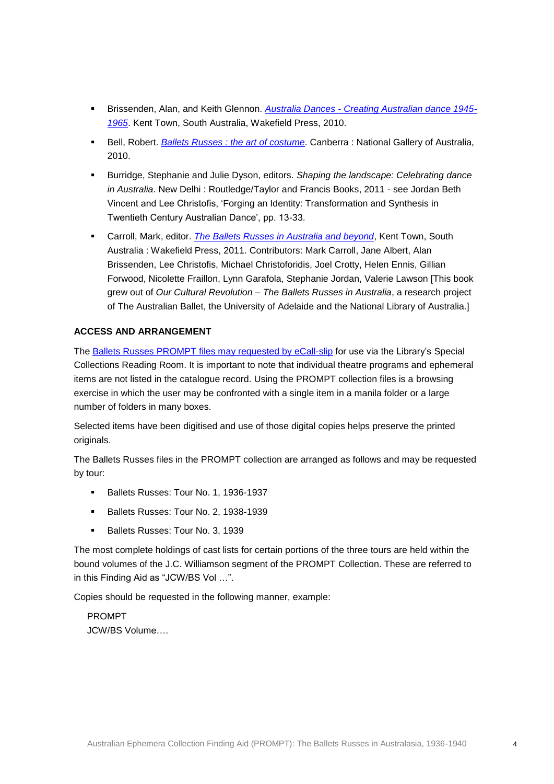- Brissenden, Alan, and Keith Glennon. *Australia Dances - [Creating Australian dance 1945-](http://nla.gov.au/nla.cat-vn4694097) [1965](http://nla.gov.au/nla.cat-vn4694097)*. Kent Town, South Australia, Wakefield Press, 2010.
- **Bell, Robert. [Ballets Russes : the art of costume](http://nla.gov.au/nla.cat-vn4979133)**. Canberra : National Gallery of Australia, 2010.
- Burridge, Stephanie and Julie Dyson, editors. *Shaping the landscape: Celebrating dance in Australia*. New Delhi : Routledge/Taylor and Francis Books, 2011 - see Jordan Beth Vincent and Lee Christofis, 'Forging an Identity: Transformation and Synthesis in Twentieth Century Australian Dance', pp. 13-33.
- Carroll, Mark, editor. *[The Ballets Russes in Australia and beyond](http://nla.gov.au/nla.cat-vn5009922)*, Kent Town, South Australia : Wakefield Press, 2011. Contributors: Mark Carroll, Jane Albert, Alan Brissenden, Lee Christofis, Michael Christoforidis, Joel Crotty, Helen Ennis, Gillian Forwood, Nicolette Fraillon, Lynn Garafola, Stephanie Jordan, Valerie Lawson [This book grew out of *Our Cultural Revolution – The Ballets Russes in Australia*, a research project of The Australian Ballet, the University of Adelaide and the National Library of Australia.]

### **ACCESS AND ARRANGEMENT**

The [Ballets Russes PROMPT files may requested by eCall-slip](http://nla.gov.au/nla.cat-vn143713) for use via the Library's Special Collections Reading Room. It is important to note that individual theatre programs and ephemeral items are not listed in the catalogue record. Using the PROMPT collection files is a browsing exercise in which the user may be confronted with a single item in a manila folder or a large number of folders in many boxes.

Selected items have been digitised and use of those digital copies helps preserve the printed originals.

The Ballets Russes files in the PROMPT collection are arranged as follows and may be requested by tour:

- Ballets Russes: Tour No. 1, 1936-1937
- Ballets Russes: Tour No. 2, 1938-1939
- Ballets Russes: Tour No. 3, 1939

The most complete holdings of cast lists for certain portions of the three tours are held within the bound volumes of the J.C. Williamson segment of the PROMPT Collection. These are referred to in this Finding Aid as "JCW/BS Vol …".

Copies should be requested in the following manner, example:

PROMPT JCW/BS Volume….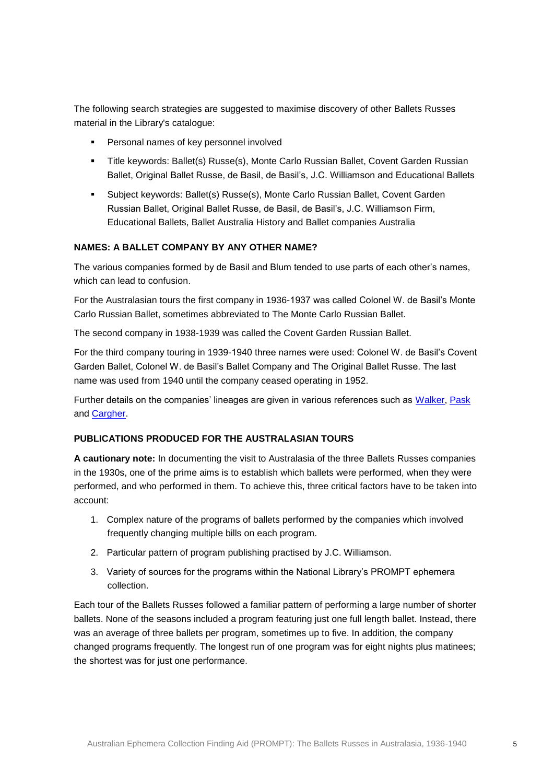The following search strategies are suggested to maximise discovery of other Ballets Russes material in the Library's catalogue:

- **Personal names of key personnel involved**
- Title keywords: Ballet(s) Russe(s), Monte Carlo Russian Ballet, Covent Garden Russian Ballet, Original Ballet Russe, de Basil, de Basil's, J.C. Williamson and Educational Ballets
- Subject keywords: Ballet(s) Russe(s), Monte Carlo Russian Ballet, Covent Garden Russian Ballet, Original Ballet Russe, de Basil, de Basil's, J.C. Williamson Firm, Educational Ballets, Ballet Australia History and Ballet companies Australia

### **NAMES: A BALLET COMPANY BY ANY OTHER NAME?**

The various companies formed by de Basil and Blum tended to use parts of each other's names, which can lead to confusion.

For the Australasian tours the first company in 1936-1937 was called Colonel W. de Basil's Monte Carlo Russian Ballet, sometimes abbreviated to The Monte Carlo Russian Ballet.

The second company in 1938-1939 was called the Covent Garden Russian Ballet.

For the third company touring in 1939-1940 three names were used: Colonel W. de Basil's Covent Garden Ballet, Colonel W. de Basil's Ballet Company and The Original Ballet Russe. The last name was used from 1940 until the company ceased operating in 1952.

Further details on the companies' lineages are given in various references such as [Walker,](http://nla.gov.au/nla.cat-vn267137) [Pask](http://nla.gov.au/anbd.bib-an21443268) and [Cargher.](http://nla.gov.au/anbd.bib-an1155411)

### **PUBLICATIONS PRODUCED FOR THE AUSTRALASIAN TOURS**

**A cautionary note:** In documenting the visit to Australasia of the three Ballets Russes companies in the 1930s, one of the prime aims is to establish which ballets were performed, when they were performed, and who performed in them. To achieve this, three critical factors have to be taken into account:

- 1. Complex nature of the programs of ballets performed by the companies which involved frequently changing multiple bills on each program.
- 2. Particular pattern of program publishing practised by J.C. Williamson.
- 3. Variety of sources for the programs within the National Library's PROMPT ephemera collection.

Each tour of the Ballets Russes followed a familiar pattern of performing a large number of shorter ballets. None of the seasons included a program featuring just one full length ballet. Instead, there was an average of three ballets per program, sometimes up to five. In addition, the company changed programs frequently. The longest run of one program was for eight nights plus matinees; the shortest was for just one performance.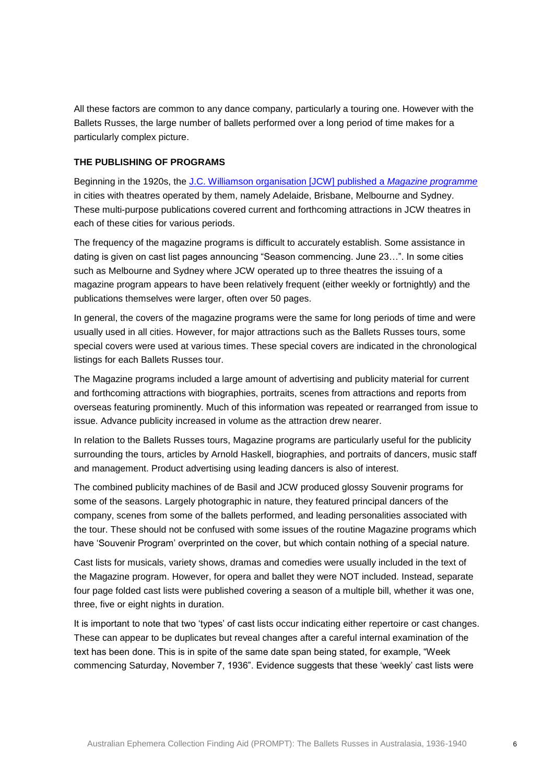All these factors are common to any dance company, particularly a touring one. However with the Ballets Russes, the large number of ballets performed over a long period of time makes for a particularly complex picture.

#### **THE PUBLISHING OF PROGRAMS**

Beginning in the 1920s, the [J.C. Williamson organisation \[JCW\] published a](http://catalogue.nla.gov.au/Search/Home?lookfor=j.c.+williamson+%22magazine+programme%22&type=all&limit%5b%5d=&submit=Find&filter%5b%5d=format:%22Journal%22) *Magazine programme* in cities with theatres operated by them, namely Adelaide, Brisbane, Melbourne and Sydney. These multi-purpose publications covered current and forthcoming attractions in JCW theatres in each of these cities for various periods.

The frequency of the magazine programs is difficult to accurately establish. Some assistance in dating is given on cast list pages announcing "Season commencing. June 23…". In some cities such as Melbourne and Sydney where JCW operated up to three theatres the issuing of a magazine program appears to have been relatively frequent (either weekly or fortnightly) and the publications themselves were larger, often over 50 pages.

In general, the covers of the magazine programs were the same for long periods of time and were usually used in all cities. However, for major attractions such as the Ballets Russes tours, some special covers were used at various times. These special covers are indicated in the chronological listings for each Ballets Russes tour.

The Magazine programs included a large amount of advertising and publicity material for current and forthcoming attractions with biographies, portraits, scenes from attractions and reports from overseas featuring prominently. Much of this information was repeated or rearranged from issue to issue. Advance publicity increased in volume as the attraction drew nearer.

In relation to the Ballets Russes tours, Magazine programs are particularly useful for the publicity surrounding the tours, articles by Arnold Haskell, biographies, and portraits of dancers, music staff and management. Product advertising using leading dancers is also of interest.

The combined publicity machines of de Basil and JCW produced glossy Souvenir programs for some of the seasons. Largely photographic in nature, they featured principal dancers of the company, scenes from some of the ballets performed, and leading personalities associated with the tour. These should not be confused with some issues of the routine Magazine programs which have 'Souvenir Program' overprinted on the cover, but which contain nothing of a special nature.

Cast lists for musicals, variety shows, dramas and comedies were usually included in the text of the Magazine program. However, for opera and ballet they were NOT included. Instead, separate four page folded cast lists were published covering a season of a multiple bill, whether it was one, three, five or eight nights in duration.

It is important to note that two 'types' of cast lists occur indicating either repertoire or cast changes. These can appear to be duplicates but reveal changes after a careful internal examination of the text has been done. This is in spite of the same date span being stated, for example, "Week commencing Saturday, November 7, 1936". Evidence suggests that these 'weekly' cast lists were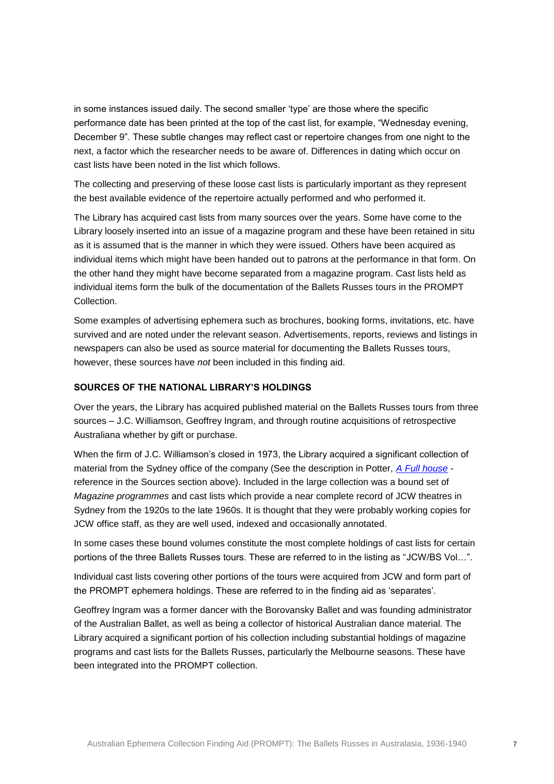in some instances issued daily. The second smaller 'type' are those where the specific performance date has been printed at the top of the cast list, for example, "Wednesday evening, December 9". These subtle changes may reflect cast or repertoire changes from one night to the next, a factor which the researcher needs to be aware of. Differences in dating which occur on cast lists have been noted in the list which follows.

The collecting and preserving of these loose cast lists is particularly important as they represent the best available evidence of the repertoire actually performed and who performed it.

The Library has acquired cast lists from many sources over the years. Some have come to the Library loosely inserted into an issue of a magazine program and these have been retained in situ as it is assumed that is the manner in which they were issued. Others have been acquired as individual items which might have been handed out to patrons at the performance in that form. On the other hand they might have become separated from a magazine program. Cast lists held as individual items form the bulk of the documentation of the Ballets Russes tours in the PROMPT Collection.

Some examples of advertising ephemera such as brochures, booking forms, invitations, etc. have survived and are noted under the relevant season. Advertisements, reports, reviews and listings in newspapers can also be used as source material for documenting the Ballets Russes tours, however, these sources have *not* been included in this finding aid.

### **SOURCES OF THE NATIONAL LIBRARY'S HOLDINGS**

Over the years, the Library has acquired published material on the Ballets Russes tours from three sources – J.C. Williamson, Geoffrey Ingram, and through routine acquisitions of retrospective Australiana whether by gift or purchase.

When the firm of J.C. Williamson's closed in 1973, the Library acquired a significant collection of material from the Sydney office of the company (See the description in Potter, *[A Full house](http://nla.gov.au/nla.cat-vn2965573)* reference in the Sources section above). Included in the large collection was a bound set of *Magazine programmes* and cast lists which provide a near complete record of JCW theatres in Sydney from the 1920s to the late 1960s. It is thought that they were probably working copies for JCW office staff, as they are well used, indexed and occasionally annotated.

In some cases these bound volumes constitute the most complete holdings of cast lists for certain portions of the three Ballets Russes tours. These are referred to in the listing as "JCW/BS Vol…".

Individual cast lists covering other portions of the tours were acquired from JCW and form part of the PROMPT ephemera holdings. These are referred to in the finding aid as 'separates'.

Geoffrey Ingram was a former dancer with the Borovansky Ballet and was founding administrator of the Australian Ballet, as well as being a collector of historical Australian dance material. The Library acquired a significant portion of his collection including substantial holdings of magazine programs and cast lists for the Ballets Russes, particularly the Melbourne seasons. These have been integrated into the PROMPT collection.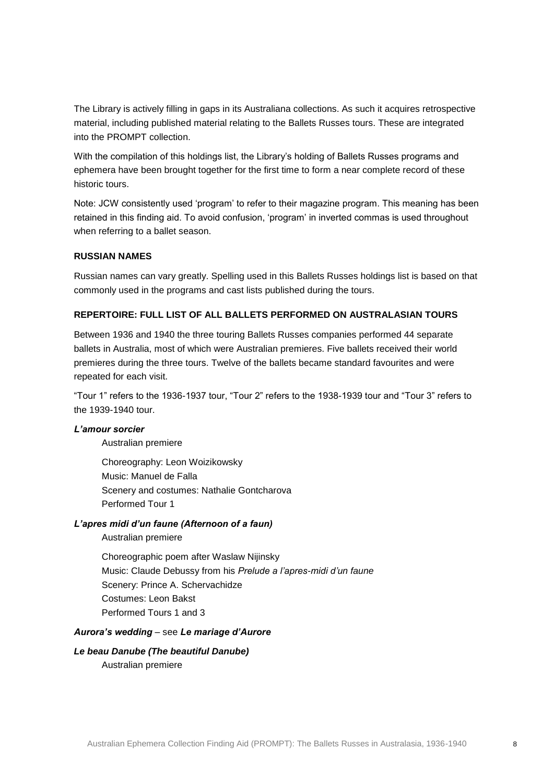The Library is actively filling in gaps in its Australiana collections. As such it acquires retrospective material, including published material relating to the Ballets Russes tours. These are integrated into the PROMPT collection.

With the compilation of this holdings list, the Library's holding of Ballets Russes programs and ephemera have been brought together for the first time to form a near complete record of these historic tours.

Note: JCW consistently used 'program' to refer to their magazine program. This meaning has been retained in this finding aid. To avoid confusion, 'program' in inverted commas is used throughout when referring to a ballet season.

### **RUSSIAN NAMES**

Russian names can vary greatly. Spelling used in this Ballets Russes holdings list is based on that commonly used in the programs and cast lists published during the tours.

### **REPERTOIRE: FULL LIST OF ALL BALLETS PERFORMED ON AUSTRALASIAN TOURS**

Between 1936 and 1940 the three touring Ballets Russes companies performed 44 separate ballets in Australia, most of which were Australian premieres. Five ballets received their world premieres during the three tours. Twelve of the ballets became standard favourites and were repeated for each visit.

"Tour 1" refers to the 1936-1937 tour, "Tour 2" refers to the 1938-1939 tour and "Tour 3" refers to the 1939-1940 tour.

#### *L'amour sorcier*

Australian premiere

Choreography: Leon Woizikowsky Music: Manuel de Falla Scenery and costumes: Nathalie Gontcharova Performed Tour 1

### *L'apres midi d'un faune (Afternoon of a faun)*

Australian premiere

Choreographic poem after Waslaw Nijinsky Music: Claude Debussy from his *Prelude a l'apres-midi d'un faune* Scenery: Prince A. Schervachidze Costumes: Leon Bakst Performed Tours 1 and 3

#### *Aurora's wedding* – see *Le mariage d'Aurore*

# *Le beau Danube (The beautiful Danube)*

Australian premiere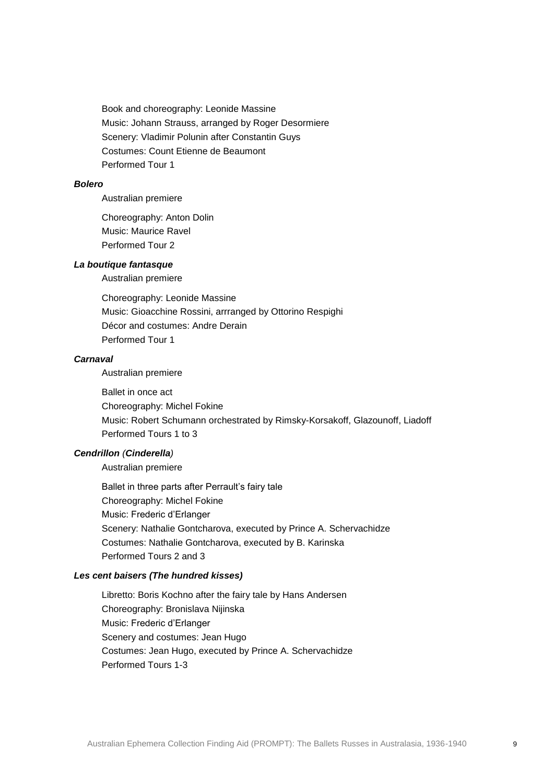Book and choreography: Leonide Massine Music: Johann Strauss, arranged by Roger Desormiere Scenery: Vladimir Polunin after Constantin Guys Costumes: Count Etienne de Beaumont Performed Tour 1

#### *Bolero*

Australian premiere

Choreography: Anton Dolin Music: Maurice Ravel Performed Tour 2

### *La boutique fantasque*

Australian premiere

Choreography: Leonide Massine Music: Gioacchine Rossini, arrranged by Ottorino Respighi Décor and costumes: Andre Derain Performed Tour 1

#### *Carnaval*

Australian premiere

Ballet in once act Choreography: Michel Fokine Music: Robert Schumann orchestrated by Rimsky-Korsakoff, Glazounoff, Liadoff Performed Tours 1 to 3

### *Cendrillon (Cinderella)*

Australian premiere

Ballet in three parts after Perrault's fairy tale Choreography: Michel Fokine Music: Frederic d'Erlanger Scenery: Nathalie Gontcharova, executed by Prince A. Schervachidze Costumes: Nathalie Gontcharova, executed by B. Karinska Performed Tours 2 and 3

# *Les cent baisers (The hundred kisses)*

Libretto: Boris Kochno after the fairy tale by Hans Andersen Choreography: Bronislava Nijinska Music: Frederic d'Erlanger Scenery and costumes: Jean Hugo Costumes: Jean Hugo, executed by Prince A. Schervachidze Performed Tours 1-3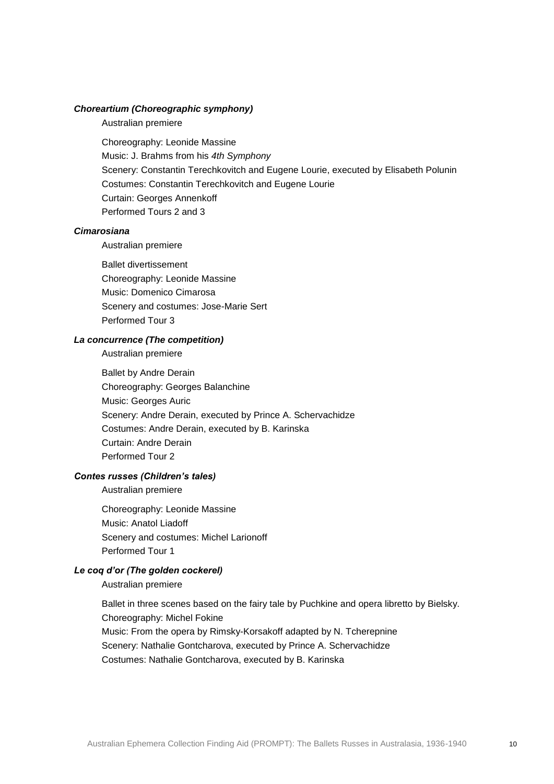### *Choreartium (Choreographic symphony)*

Australian premiere

Choreography: Leonide Massine Music: J. Brahms from his *4th Symphony* Scenery: Constantin Terechkovitch and Eugene Lourie, executed by Elisabeth Polunin Costumes: Constantin Terechkovitch and Eugene Lourie Curtain: Georges Annenkoff Performed Tours 2 and 3

#### *Cimarosiana*

Australian premiere

Ballet divertissement Choreography: Leonide Massine Music: Domenico Cimarosa Scenery and costumes: Jose-Marie Sert Performed Tour 3

### *La concurrence (The competition)*

Australian premiere

Ballet by Andre Derain Choreography: Georges Balanchine Music: Georges Auric Scenery: Andre Derain, executed by Prince A. Schervachidze Costumes: Andre Derain, executed by B. Karinska Curtain: Andre Derain Performed Tour 2

### *Contes russes (Children's tales)*

Australian premiere

Choreography: Leonide Massine Music: Anatol Liadoff Scenery and costumes: Michel Larionoff Performed Tour 1

### *Le coq d'or (The golden cockerel)*

Australian premiere

Ballet in three scenes based on the fairy tale by Puchkine and opera libretto by Bielsky. Choreography: Michel Fokine Music: From the opera by Rimsky-Korsakoff adapted by N. Tcherepnine Scenery: Nathalie Gontcharova, executed by Prince A. Schervachidze Costumes: Nathalie Gontcharova, executed by B. Karinska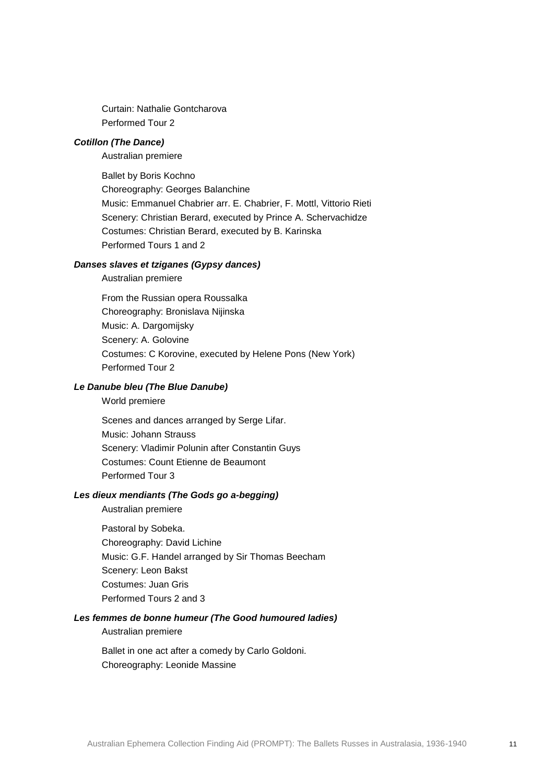Curtain: Nathalie Gontcharova Performed Tour 2

### *Cotillon (The Dance)*

Australian premiere

Ballet by Boris Kochno Choreography: Georges Balanchine Music: Emmanuel Chabrier arr. E. Chabrier, F. Mottl, Vittorio Rieti Scenery: Christian Berard, executed by Prince A. Schervachidze Costumes: Christian Berard, executed by B. Karinska Performed Tours 1 and 2

### *Danses slaves et tziganes (Gypsy dances)*

Australian premiere

From the Russian opera Roussalka Choreography: Bronislava Nijinska Music: A. Dargomijsky Scenery: A. Golovine Costumes: C Korovine, executed by Helene Pons (New York) Performed Tour 2

#### *Le Danube bleu (The Blue Danube)*

World premiere

Scenes and dances arranged by Serge Lifar. Music: Johann Strauss Scenery: Vladimir Polunin after Constantin Guys Costumes: Count Etienne de Beaumont Performed Tour 3

### *Les dieux mendiants (The Gods go a-begging)*

Australian premiere

Pastoral by Sobeka. Choreography: David Lichine Music: G.F. Handel arranged by Sir Thomas Beecham Scenery: Leon Bakst Costumes: Juan Gris Performed Tours 2 and 3

### *Les femmes de bonne humeur (The Good humoured ladies)*

#### Australian premiere

Ballet in one act after a comedy by Carlo Goldoni. Choreography: Leonide Massine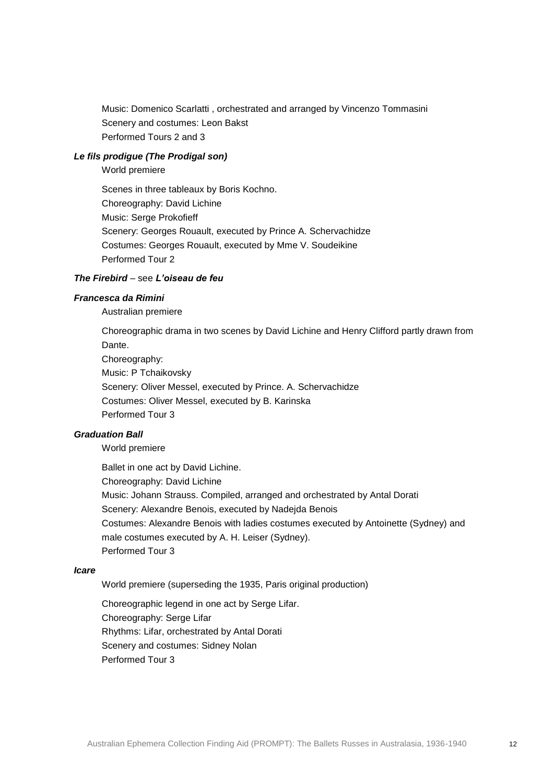Music: Domenico Scarlatti , orchestrated and arranged by Vincenzo Tommasini Scenery and costumes: Leon Bakst Performed Tours 2 and 3

### *Le fils prodigue (The Prodigal son)*

World premiere

Scenes in three tableaux by Boris Kochno. Choreography: David Lichine Music: Serge Prokofieff Scenery: Georges Rouault, executed by Prince A. Schervachidze Costumes: Georges Rouault, executed by Mme V. Soudeikine Performed Tour 2

### *The Firebird* – see *L'oiseau de feu*

### *Francesca da Rimini*

Australian premiere

Choreographic drama in two scenes by David Lichine and Henry Clifford partly drawn from Dante.

Choreography: Music: P Tchaikovsky Scenery: Oliver Messel, executed by Prince. A. Schervachidze Costumes: Oliver Messel, executed by B. Karinska Performed Tour 3

### *Graduation Ball*

World premiere

Ballet in one act by David Lichine. Choreography: David Lichine Music: Johann Strauss. Compiled, arranged and orchestrated by Antal Dorati Scenery: Alexandre Benois, executed by Nadejda Benois Costumes: Alexandre Benois with ladies costumes executed by Antoinette (Sydney) and male costumes executed by A. H. Leiser (Sydney). Performed Tour 3

#### *Icare*

World premiere (superseding the 1935, Paris original production)

Choreographic legend in one act by Serge Lifar. Choreography: Serge Lifar Rhythms: Lifar, orchestrated by Antal Dorati Scenery and costumes: Sidney Nolan Performed Tour 3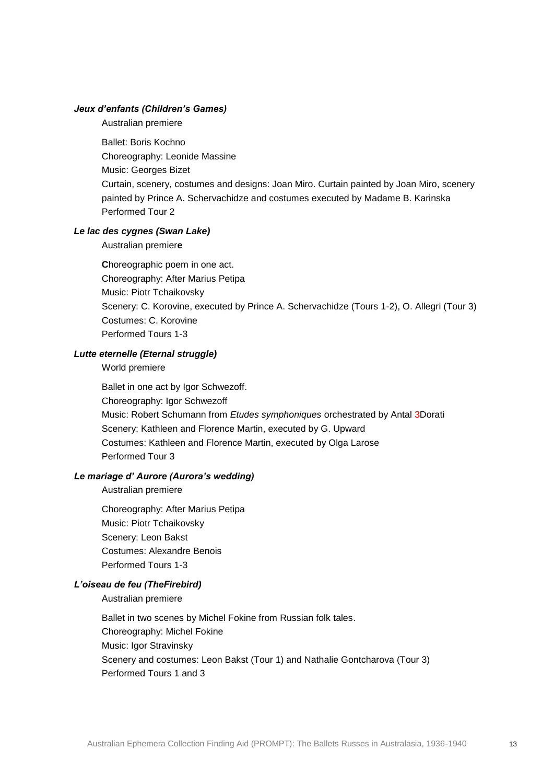#### *Jeux d'enfants (Children's Games)*

Australian premiere

Ballet: Boris Kochno Choreography: Leonide Massine Music: Georges Bizet Curtain, scenery, costumes and designs: Joan Miro. Curtain painted by Joan Miro, scenery painted by Prince A. Schervachidze and costumes executed by Madame B. Karinska Performed Tour 2

# *Le lac des cygnes (Swan Lake)*

Australian premier**e**

**C**horeographic poem in one act. Choreography: After Marius Petipa Music: Piotr Tchaikovsky Scenery: C. Korovine, executed by Prince A. Schervachidze (Tours 1-2), O. Allegri (Tour 3) Costumes: C. Korovine Performed Tours 1-3

### *Lutte eternelle (Eternal struggle)*

World premiere

Ballet in one act by Igor Schwezoff. Choreography: Igor Schwezoff Music: Robert Schumann from *Etudes symphoniques* orchestrated by Antal 3Dorati Scenery: Kathleen and Florence Martin, executed by G. Upward Costumes: Kathleen and Florence Martin, executed by Olga Larose Performed Tour 3

# *Le mariage d' Aurore (Aurora's wedding)*

Australian premiere

Choreography: After Marius Petipa Music: Piotr Tchaikovsky Scenery: Leon Bakst Costumes: Alexandre Benois Performed Tours 1-3

### *L'oiseau de feu (TheFirebird)*

Australian premiere

Ballet in two scenes by Michel Fokine from Russian folk tales. Choreography: Michel Fokine Music: Igor Stravinsky Scenery and costumes: Leon Bakst (Tour 1) and Nathalie Gontcharova (Tour 3) Performed Tours 1 and 3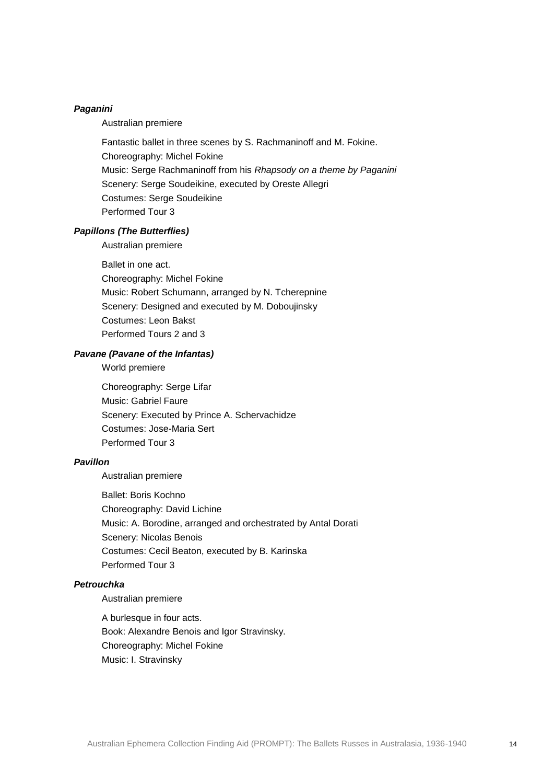#### *Paganini*

Australian premiere

Fantastic ballet in three scenes by S. Rachmaninoff and M. Fokine. Choreography: Michel Fokine Music: Serge Rachmaninoff from his *Rhapsody on a theme by Paganini* Scenery: Serge Soudeikine, executed by Oreste Allegri Costumes: Serge Soudeikine Performed Tour 3

### *Papillons (The Butterflies)*

Australian premiere

Ballet in one act. Choreography: Michel Fokine Music: Robert Schumann, arranged by N. Tcherepnine Scenery: Designed and executed by M. Doboujinsky Costumes: Leon Bakst Performed Tours 2 and 3

### *Pavane (Pavane of the Infantas)*

World premiere

Choreography: Serge Lifar Music: Gabriel Faure Scenery: Executed by Prince A. Schervachidze Costumes: Jose-Maria Sert Performed Tour 3

#### *Pavillon*

Australian premiere

Ballet: Boris Kochno Choreography: David Lichine Music: A. Borodine, arranged and orchestrated by Antal Dorati Scenery: Nicolas Benois Costumes: Cecil Beaton, executed by B. Karinska Performed Tour 3

#### *Petrouchka*

Australian premiere

A burlesque in four acts. Book: Alexandre Benois and Igor Stravinsky. Choreography: Michel Fokine Music: I. Stravinsky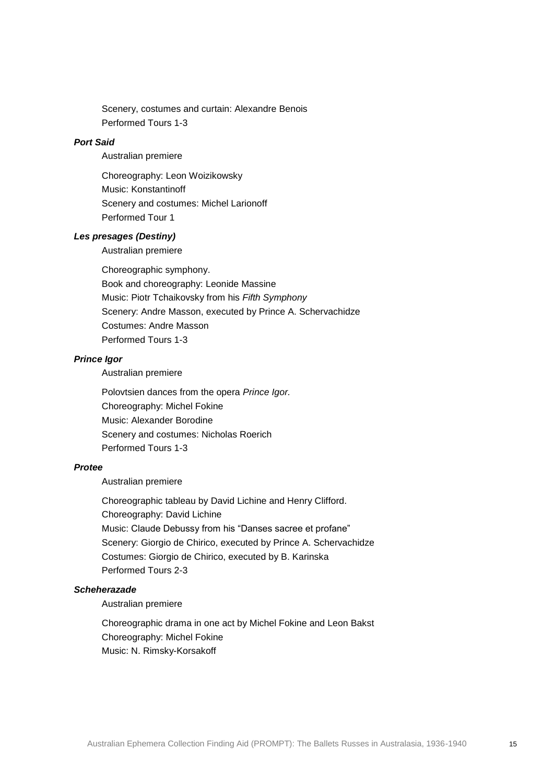Scenery, costumes and curtain: Alexandre Benois Performed Tours 1-3

### *Port Said*

Australian premiere

Choreography: Leon Woizikowsky Music: Konstantinoff Scenery and costumes: Michel Larionoff Performed Tour 1

#### *Les presages (Destiny)*

Australian premiere

Choreographic symphony. Book and choreography: Leonide Massine Music: Piotr Tchaikovsky from his *Fifth Symphony* Scenery: Andre Masson, executed by Prince A. Schervachidze Costumes: Andre Masson Performed Tours 1-3

#### *Prince Igor*

Australian premiere

Polovtsien dances from the opera *Prince Igor.* Choreography: Michel Fokine Music: Alexander Borodine Scenery and costumes: Nicholas Roerich Performed Tours 1-3

#### *Protee*

Australian premiere

Choreographic tableau by David Lichine and Henry Clifford. Choreography: David Lichine Music: Claude Debussy from his "Danses sacree et profane" Scenery: Giorgio de Chirico, executed by Prince A. Schervachidze Costumes: Giorgio de Chirico, executed by B. Karinska Performed Tours 2-3

### *Scheherazade*

Australian premiere

Choreographic drama in one act by Michel Fokine and Leon Bakst Choreography: Michel Fokine Music: N. Rimsky-Korsakoff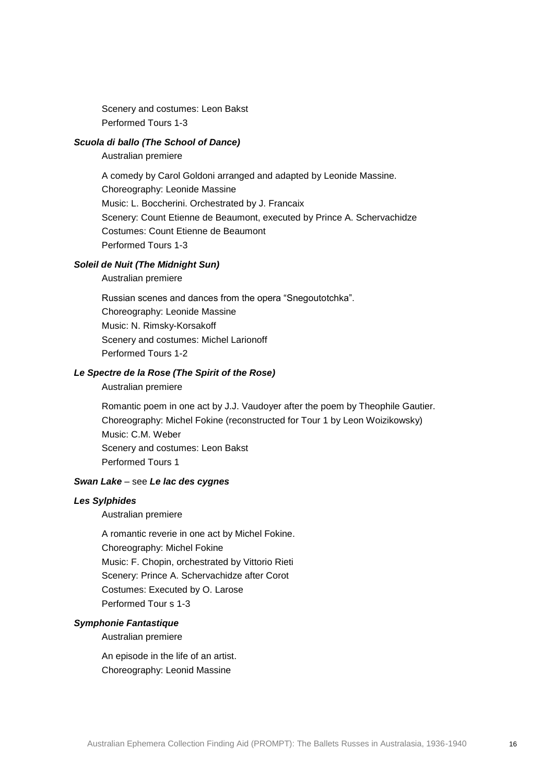Scenery and costumes: Leon Bakst Performed Tours 1-3

### *Scuola di ballo (The School of Dance)*

Australian premiere

A comedy by Carol Goldoni arranged and adapted by Leonide Massine. Choreography: Leonide Massine Music: L. Boccherini. Orchestrated by J. Francaix Scenery: Count Etienne de Beaumont, executed by Prince A. Schervachidze Costumes: Count Etienne de Beaumont Performed Tours 1-3

#### *Soleil de Nuit (The Midnight Sun)*

Australian premiere

Russian scenes and dances from the opera "Snegoutotchka". Choreography: Leonide Massine Music: N. Rimsky-Korsakoff Scenery and costumes: Michel Larionoff Performed Tours 1-2

### *Le Spectre de la Rose (The Spirit of the Rose)*

Australian premiere

Romantic poem in one act by J.J. Vaudoyer after the poem by Theophile Gautier. Choreography: Michel Fokine (reconstructed for Tour 1 by Leon Woizikowsky) Music: C.M. Weber Scenery and costumes: Leon Bakst Performed Tours 1

#### *Swan Lake* – see *Le lac des cygnes*

#### *Les Sylphides*

Australian premiere

A romantic reverie in one act by Michel Fokine. Choreography: Michel Fokine Music: F. Chopin, orchestrated by Vittorio Rieti Scenery: Prince A. Schervachidze after Corot Costumes: Executed by O. Larose Performed Tour s 1-3

#### *Symphonie Fantastique*

Australian premiere

An episode in the life of an artist. Choreography: Leonid Massine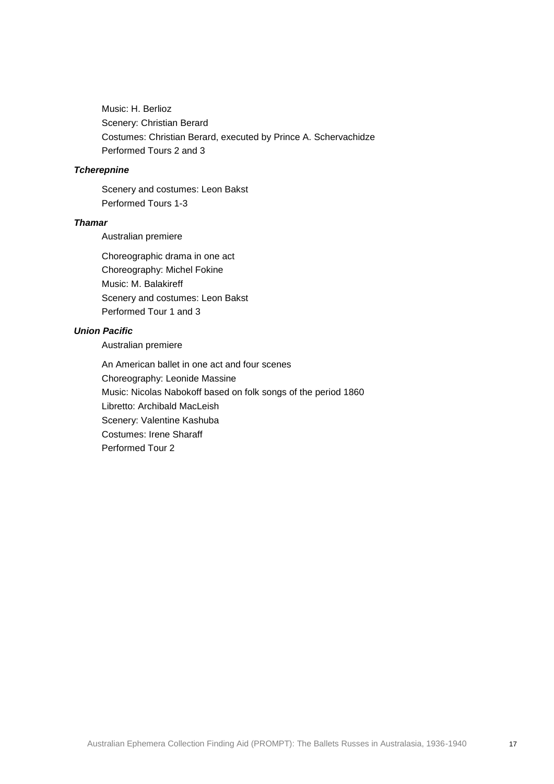Music: H. Berlioz Scenery: Christian Berard Costumes: Christian Berard, executed by Prince A. Schervachidze Performed Tours 2 and 3

### *Tcherepnine*

Scenery and costumes: Leon Bakst Performed Tours 1-3

### *Thamar*

Australian premiere

Choreographic drama in one act Choreography: Michel Fokine Music: M. Balakireff Scenery and costumes: Leon Bakst Performed Tour 1 and 3

# *Union Pacific*

Australian premiere

An American ballet in one act and four scenes Choreography: Leonide Massine Music: Nicolas Nabokoff based on folk songs of the period 1860 Libretto: Archibald MacLeish Scenery: Valentine Kashuba Costumes: Irene Sharaff Performed Tour 2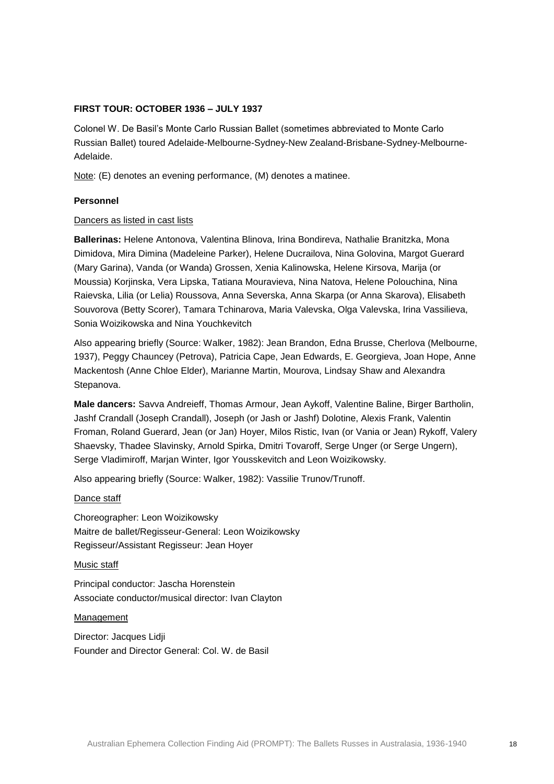### **FIRST TOUR: OCTOBER 1936 – JULY 1937**

Colonel W. De Basil's Monte Carlo Russian Ballet (sometimes abbreviated to Monte Carlo Russian Ballet) toured Adelaide-Melbourne-Sydney-New Zealand-Brisbane-Sydney-Melbourne-Adelaide.

Note: (E) denotes an evening performance, (M) denotes a matinee.

### **Personnel**

### Dancers as listed in cast lists

**Ballerinas:** Helene Antonova, Valentina Blinova, Irina Bondireva, Nathalie Branitzka, Mona Dimidova, Mira Dimina (Madeleine Parker), Helene Ducrailova, Nina Golovina, Margot Guerard (Mary Garina), Vanda (or Wanda) Grossen, Xenia Kalinowska, Helene Kirsova, Marija (or Moussia) Korjinska, Vera Lipska, Tatiana Mouravieva, Nina Natova, Helene Polouchina, Nina Raievska, Lilia (or Lelia) Roussova, Anna Severska, Anna Skarpa (or Anna Skarova), Elisabeth Souvorova (Betty Scorer), Tamara Tchinarova, Maria Valevska, Olga Valevska, Irina Vassilieva, Sonia Woizikowska and Nina Youchkevitch

Also appearing briefly (Source: Walker, 1982): Jean Brandon, Edna Brusse, Cherlova (Melbourne, 1937), Peggy Chauncey (Petrova), Patricia Cape, Jean Edwards, E. Georgieva, Joan Hope, Anne Mackentosh (Anne Chloe Elder), Marianne Martin, Mourova, Lindsay Shaw and Alexandra Stepanova.

**Male dancers:** Savva Andreieff, Thomas Armour, Jean Aykoff, Valentine Baline, Birger Bartholin, Jashf Crandall (Joseph Crandall), Joseph (or Jash or Jashf) Dolotine, Alexis Frank, Valentin Froman, Roland Guerard, Jean (or Jan) Hoyer, Milos Ristic, Ivan (or Vania or Jean) Rykoff, Valery Shaevsky, Thadee Slavinsky, Arnold Spirka, Dmitri Tovaroff, Serge Unger (or Serge Ungern), Serge Vladimiroff, Marjan Winter, Igor Yousskevitch and Leon Woizikowsky.

Also appearing briefly (Source: Walker, 1982): Vassilie Trunov/Trunoff.

#### Dance staff

Choreographer: Leon Woizikowsky Maitre de ballet/Regisseur-General: Leon Woizikowsky Regisseur/Assistant Regisseur: Jean Hoyer

#### Music staff

Principal conductor: Jascha Horenstein Associate conductor/musical director: Ivan Clayton

#### Management

Director: Jacques Lidji Founder and Director General: Col. W. de Basil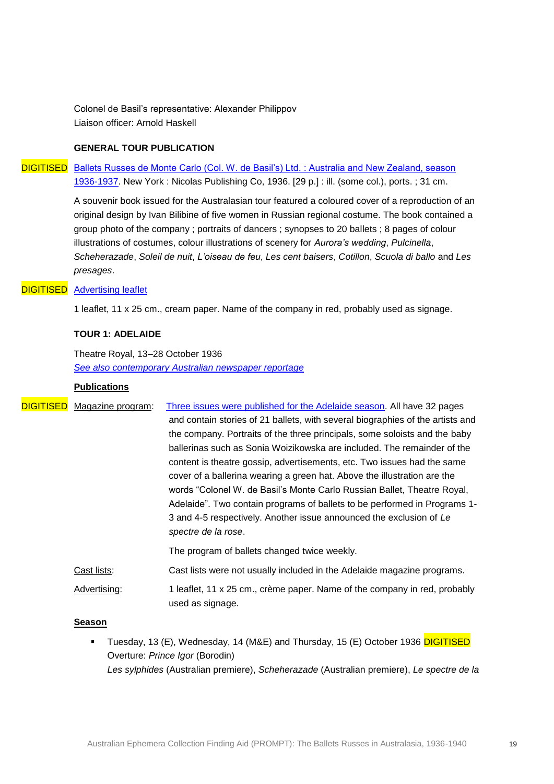Colonel de Basil's representative: Alexander Philippov Liaison officer: Arnold Haskell

# **GENERAL TOUR PUBLICATION**

# DIGITISED Ballets Russes de Monte Carlo (Col. W. de Basil's) Ltd. : Australia and New Zealand, season [1936-1937.](http://www.nla.gov.au/nla.aus-vn143713-1-1-1) New York : Nicolas Publishing Co, 1936. [29 p.] : ill. (some col.), ports. ; 31 cm.

A souvenir book issued for the Australasian tour featured a coloured cover of a reproduction of an original design by Ivan Bilibine of five women in Russian regional costume. The book contained a group photo of the company ; portraits of dancers ; synopses to 20 ballets ; 8 pages of colour illustrations of costumes, colour illustrations of scenery for *Aurora's wedding*, *Pulcinella*, *Scheherazade*, *Soleil de nuit*, *L'oiseau de feu*, *Les cent baisers*, *Cotillon*, *Scuola di ballo* and *Les presages*.

# **DIGITISED** [Advertising leaflet](http://www.nla.gov.au/nla.aus-vn143713-1-1-2)

1 leaflet, 11 x 25 cm., cream paper. Name of the company in red, probably used as signage.

#### **TOUR 1: ADELAIDE**

Theatre Royal, 13–28 October 1936 *[See also contemporary Australian newspaper reportage](http://trove.nla.gov.au/newspaper/result?q=%22Monte+Carlo+Russian+Ballet%22+adelaide&l-decade=193&l-year=1936&l-month=10)*

#### **Publications**

| <b>DIGITISED</b> Magazine program: | Three issues were published for the Adelaide season. All have 32 pages                        |
|------------------------------------|-----------------------------------------------------------------------------------------------|
|                                    | and contain stories of 21 ballets, with several biographies of the artists and                |
|                                    | the company. Portraits of the three principals, some soloists and the baby                    |
|                                    | ballerinas such as Sonia Woizikowska are included. The remainder of the                       |
|                                    | content is theatre gossip, advertisements, etc. Two issues had the same                       |
|                                    | cover of a ballerina wearing a green hat. Above the illustration are the                      |
|                                    | words "Colonel W. de Basil's Monte Carlo Russian Ballet, Theatre Royal,                       |
|                                    | Adelaide". Two contain programs of ballets to be performed in Programs 1-                     |
|                                    | 3 and 4-5 respectively. Another issue announced the exclusion of Le                           |
|                                    | spectre de la rose.                                                                           |
|                                    | The program of ballets changed twice weekly.                                                  |
| Cast lists:                        | Cast lists were not usually included in the Adelaide magazine programs.                       |
| Advertising:                       | 1 leaflet, 11 x 25 cm., crème paper. Name of the company in red, probably<br>used as signage. |

#### **Season**

Tuesday, 13 (E), Wednesday, 14 (M&E) and Thursday, 15 (E) October 1936 DIGITISED Overture: *Prince Igor* (Borodin) *Les sylphides* (Australian premiere), *Scheherazade* (Australian premiere), *Le spectre de la*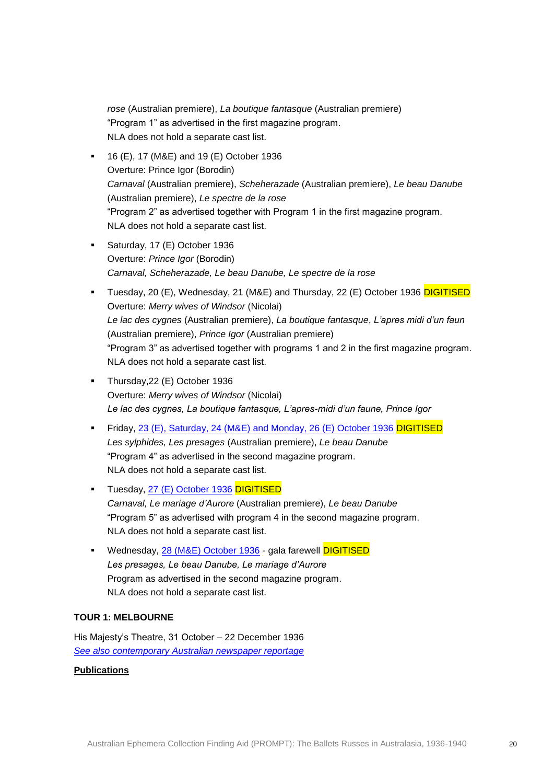*rose* (Australian premiere), *La boutique fantasque* (Australian premiere) "Program 1" as advertised in the first magazine program. NLA does not hold a separate cast list.

- 16 (E), 17 (M&E) and 19 (E) October 1936 Overture: Prince Igor (Borodin) *Carnaval* (Australian premiere), *Scheherazade* (Australian premiere), *Le beau Danube*  (Australian premiere), *Le spectre de la rose* "Program 2" as advertised together with Program 1 in the first magazine program. NLA does not hold a separate cast list.
- Saturday, 17 (E) October 1936 Overture: *Prince Igor* (Borodin) *Carnaval, Scheherazade, Le beau Danube, Le spectre de la rose*
- Tuesday, 20 (E), Wednesday, 21 (M&E) and Thursday, 22 (E) October 1936 DIGITISED Overture: *Merry wives of Windsor* (Nicolai) *Le lac des cygnes* (Australian premiere), *La boutique fantasque*, *L'apres midi d'un faun*  (Australian premiere), *Prince Igor* (Australian premiere) "Program 3" as advertised together with programs 1 and 2 in the first magazine program. NLA does not hold a separate cast list.
- **Thursday, 22 (E) October 1936** Overture: *Merry wives of Windsor* (Nicolai) *Le lac des cygnes, La boutique fantasque, L'apres-midi d'un faune, Prince Igor*
- Friday, [23 \(E\), Saturday, 24 \(M&E\) and Monday, 26 \(E\) October 1936](http://www.nla.gov.au/nla.aus-vn143713-1-2-2-4) DIGITISED *Les sylphides, Les presages* (Australian premiere), *Le beau Danube* "Program 4" as advertised in the second magazine program. NLA does not hold a separate cast list.
- Tuesday, [27 \(E\) October 1936](http://www.nla.gov.au/nla.aus-vn143713-1-2-2-5) DIGITISED *Carnaval, Le mariage d'Aurore* (Australian premiere), *Le beau Danube* "Program 5" as advertised with program 4 in the second magazine program. NLA does not hold a separate cast list.
- Wednesday, [28 \(M&E\) October 1936](http://www.nla.gov.au/nla.aus-vn143713-1-2-2-6) gala farewell DIGITISED *Les presages, Le beau Danube, Le mariage d'Aurore* Program as advertised in the second magazine program. NLA does not hold a separate cast list.

### **TOUR 1: MELBOURNE**

His Majesty's Theatre, 31 October – 22 December 1936 *[See also contemporary Australian newspaper reportage](http://trove.nla.gov.au/newspaper/result?l-decade=193&l-year=1936&q=%22Monte+Carlo+Russian+Ballet%22+melbourne)*

### **Publications**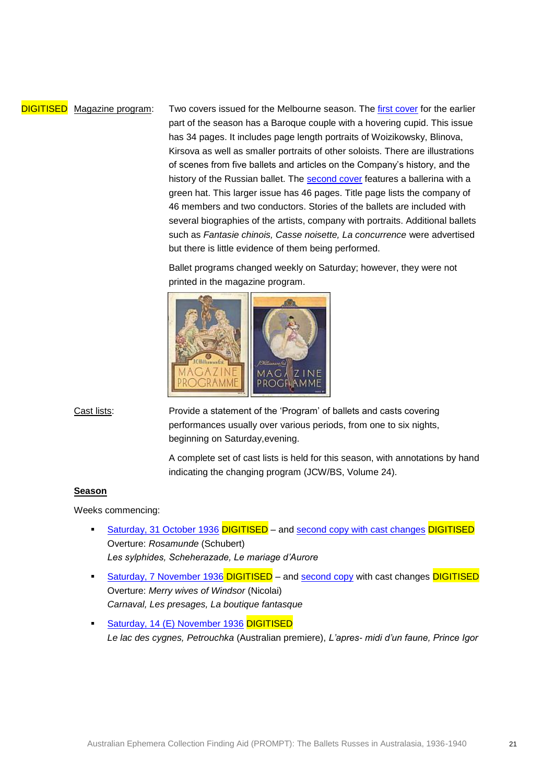DIGITISED Magazine program: Two covers issued for the Melbourne season. The [first cover](http://www.nla.gov.au/nla.aus-vn143713-1-3-1-1) for the earlier part of the season has a Baroque couple with a hovering cupid. This issue has 34 pages. It includes page length portraits of Woizikowsky, Blinova, Kirsova as well as smaller portraits of other soloists. There are illustrations of scenes from five ballets and articles on the Company's history, and the history of the Russian ballet. The [second cover](http://www.nla.gov.au/nla.aus-vn143713-1-3-1-2) features a ballerina with a green hat. This larger issue has 46 pages. Title page lists the company of 46 members and two conductors. Stories of the ballets are included with several biographies of the artists, company with portraits. Additional ballets such as *Fantasie chinois, Casse noisette, La concurrence* were advertised but there is little evidence of them being performed.

> Ballet programs changed weekly on Saturday; however, they were not printed in the magazine program.



Cast lists: Provide a statement of the 'Program' of ballets and casts covering performances usually over various periods, from one to six nights, beginning on Saturday,evening.

> A complete set of cast lists is held for this season, with annotations by hand indicating the changing program (JCW/BS, Volume 24).

#### **Season**

Weeks commencing:

- [Saturday, 31 October 1936](http://www.nla.gov.au/nla.aus-vn143713-1-3-2-1) DIGITISED and [second copy with cast changes](http://www.nla.gov.au/nla.aus-vn143713-1-3-2-2) DIGITISED Overture: *Rosamunde* (Schubert) *Les sylphides, Scheherazade, Le mariage d'Aurore*
- [Saturday, 7 November 1936](http://www.nla.gov.au/nla.aus-vn143713-1-3-2-3) DIGITISED and [second copy](http://www.nla.gov.au/nla.aus-vn143713-1-3-2-4) with cast changes DIGITISED Overture: *Merry wives of Windsor* (Nicolai) *Carnaval, Les presages, La boutique fantasque*
- **[Saturday, 14 \(E\) November 1936](http://www.nla.gov.au/nla.aus-vn143713-1-3-2-5) DIGITISED** *Le lac des cygnes, Petrouchka* (Australian premiere), *L'apres- midi d'un faune, Prince Igor*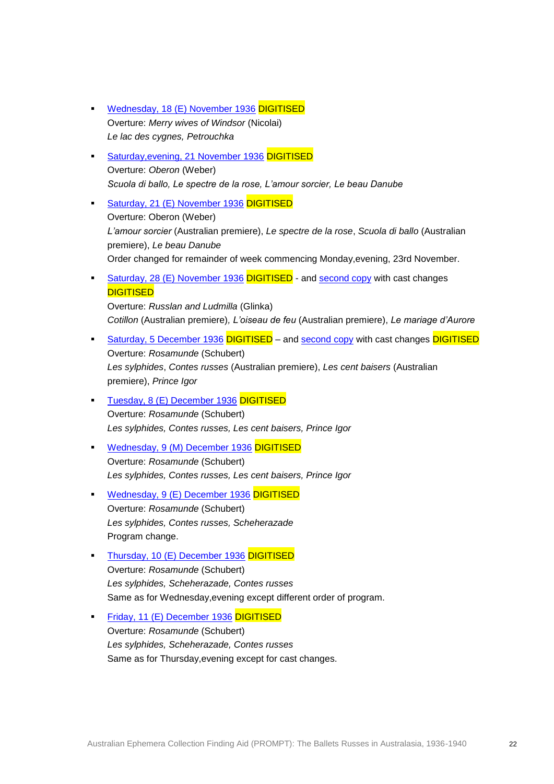- [Wednesday, 18 \(E\) November 1936](http://www.nla.gov.au/nla.aus-vn143713-1-3-2-6) DIGITISED Overture: *Merry wives of Windsor* (Nicolai) *Le lac des cygnes, Petrouchka*
- Saturday, evening, 21 November 1936 DIGITISED Overture: *Oberon* (Weber) *Scuola di ballo, Le spectre de la rose, L'amour sorcier, Le beau Danube*
- [Saturday, 21 \(E\) November 1936](http://www.nla.gov.au/nla.aus-vn143713-1-3-2-8) DIGITISED Overture: Oberon (Weber) *L'amour sorcier* (Australian premiere), *Le spectre de la rose*, *Scuola di ballo* (Australian premiere), *Le beau Danube* Order changed for remainder of week commencing Monday,evening, 23rd November.
- [Saturday, 28 \(E\) November 1936](http://www.nla.gov.au/nla.aus-vn143713-1-3-2-9) DIGITISED and [second copy](http://www.nla.gov.au/nla.aus-vn143713-1-3-2-10) with cast changes **DIGITISED**

Overture: *Russlan and Ludmilla* (Glinka) *Cotillon* (Australian premiere)*, L'oiseau de feu* (Australian premiere), *Le mariage d'Aurore*

- [Saturday, 5 December 1936](http://www.nla.gov.au/nla.aus-vn143713-1-3-2-11) DIGITISED and [second copy](http://www.nla.gov.au/nla.aus-vn143713-1-3-2-12) with cast changes DIGITISED Overture: *Rosamunde* (Schubert) *Les sylphides*, *Contes russes* (Australian premiere), *Les cent baisers* (Australian premiere), *Prince Igor*
- [Tuesday, 8 \(E\) December 1936](http://www.nla.gov.au/nla.aus-vn143713-1-3-2-13) DIGITISED Overture: *Rosamunde* (Schubert) *Les sylphides, Contes russes, Les cent baisers, Prince Igor*
- [Wednesday, 9 \(M\) December 1936](http://www.nla.gov.au/nla.aus-vn143713-1-3-2-14) DIGITISED Overture: *Rosamunde* (Schubert) *Les sylphides, Contes russes, Les cent baisers, Prince Igor*
- [Wednesday, 9 \(E\) December 1936](http://www.nla.gov.au/nla.aus-vn143713-1-3-2-15) DIGITISED Overture: *Rosamunde* (Schubert) *Les sylphides, Contes russes, Scheherazade* Program change.
- [Thursday, 10 \(E\) December 1936](http://www.nla.gov.au/nla.aus-vn143713-1-3-2-16) DIGITISED Overture: *Rosamunde* (Schubert) *Les sylphides, Scheherazade, Contes russes* Same as for Wednesday,evening except different order of program.
- [Friday, 11 \(E\) December 1936](http://www.nla.gov.au/nla.aus-vn143713-1-3-2-17) DIGITISED Overture: *Rosamunde* (Schubert) *Les sylphides, Scheherazade, Contes russes* Same as for Thursday,evening except for cast changes.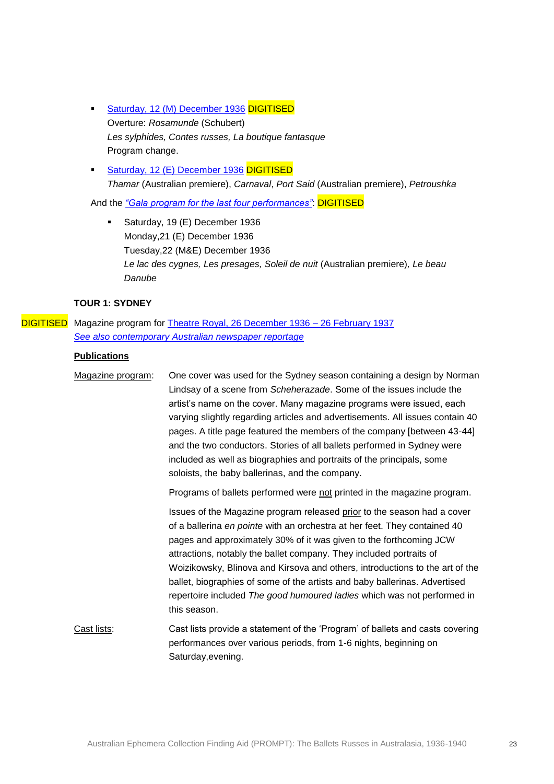- [Saturday, 12 \(M\) December 1936](http://www.nla.gov.au/nla.aus-vn143713-1-3-2-18) DIGITISED Overture: *Rosamunde* (Schubert) *Les sylphides, Contes russes, La boutique fantasque* Program change.
- [Saturday, 12 \(E\) December 1936](http://www.nla.gov.au/nla.aus-vn143713-1-3-2-20) DIGITISED *Thamar* (Australian premiere), *Carnaval*, *Port Said* (Australian premiere), *Petroushka*

And the *"Gala [program for the last four performances"](http://www.nla.gov.au/nla.aus-vn143713-1-3-2-21)*: DIGITISED

 Saturday, 19 (E) December 1936 Monday,21 (E) December 1936 Tuesday,22 (M&E) December 1936 *Le lac des cygnes, Les presages, Soleil de nuit* (Australian premiere)*, Le beau Danube*

### **TOUR 1: SYDNEY**

DIGITISED Magazine program for [Theatre Royal, 26 December 1936 –](http://www.nla.gov.au/nla.aus-vn143713-1-4-1-1) 26 February 1937 *[See also contemporary Australian newspaper reportage](http://trove.nla.gov.au/newspaper/result?l-decade=193&q=%22Monte+Carlo+Russian+Ballet%22+sydney&openFacets=true)*

### **Publications**

Magazine program: One cover was used for the Sydney season containing a design by Norman Lindsay of a scene from *Scheherazade*. Some of the issues include the artist's name on the cover. Many magazine programs were issued, each varying slightly regarding articles and advertisements. All issues contain 40 pages. A title page featured the members of the company [between 43-44] and the two conductors. Stories of all ballets performed in Sydney were included as well as biographies and portraits of the principals, some soloists, the baby ballerinas, and the company. Programs of ballets performed were not printed in the magazine program. Issues of the Magazine program released prior to the season had a cover of a ballerina *en pointe* with an orchestra at her feet. They contained 40 pages and approximately 30% of it was given to the forthcoming JCW attractions, notably the ballet company. They included portraits of Woizikowsky, Blinova and Kirsova and others, introductions to the art of the ballet, biographies of some of the artists and baby ballerinas. Advertised repertoire included *The good humoured ladies* which was not performed in this season. Cast lists: Cast lists provide a statement of the 'Program' of ballets and casts covering performances over various periods, from 1-6 nights, beginning on Saturday,evening.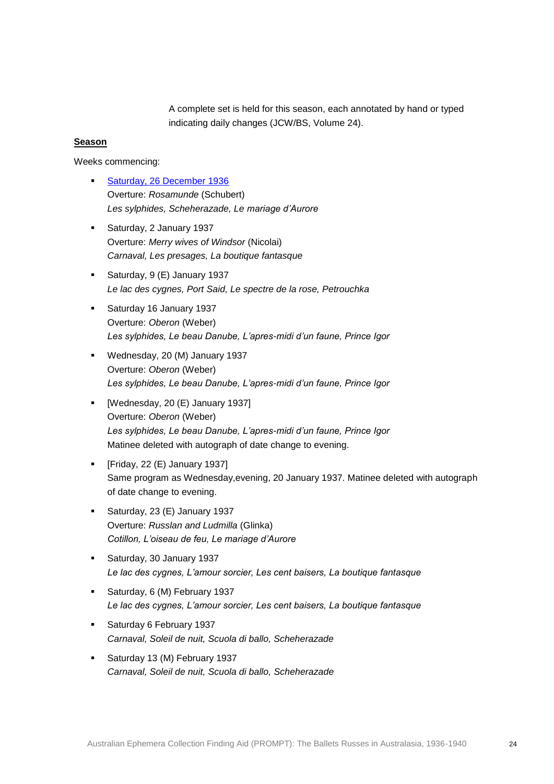A complete set is held for this season, each annotated by hand or typed indicating daily changes (JCW/BS, Volume 24).

#### **Season**

Weeks commencing:

- **[Saturday, 26 December 1936](http://www.nla.gov.au/nla.aus-vn143713-1-4-1-1)** Overture: *Rosamunde* (Schubert) *Les sylphides, Scheherazade, Le mariage d'Aurore*
- **Saturday, 2 January 1937** Overture: *Merry wives of Windsor* (Nicolai) *Carnaval, Les presages, La boutique fantasque*
- Saturday, 9 (E) January 1937 *Le lac des cygnes, Port Said, Le spectre de la rose, Petrouchka*
- Saturday 16 January 1937 Overture: *Oberon* (Weber) *Les sylphides, Le beau Danube, L'apres-midi d'un faune, Prince Igor*
- Wednesday, 20 (M) January 1937 Overture: *Oberon* (Weber) *Les sylphides, Le beau Danube, L'apres-midi d'un faune, Prince Igor*
- **•** [Wednesday, 20 (E) January 1937] Overture: *Oberon* (Weber) *Les sylphides, Le beau Danube, L'apres-midi d'un faune, Prince Igor* Matinee deleted with autograph of date change to evening.
- $\blacksquare$  [Friday, 22 (E) January 1937] Same program as Wednesday,evening, 20 January 1937. Matinee deleted with autograph of date change to evening.
- Saturday, 23 (E) January 1937 Overture: *Russlan and Ludmilla* (Glinka) *Cotillon, L'oiseau de feu, Le mariage d'Aurore*
- **Saturday, 30 January 1937** *Le lac des cygnes, L'amour sorcier, Les cent baisers, La boutique fantasque*
- **Saturday, 6 (M) February 1937** *Le lac des cygnes, L'amour sorcier, Les cent baisers, La boutique fantasque*
- **Saturday 6 February 1937** *Carnaval, Soleil de nuit, Scuola di ballo, Scheherazade*
- Saturday 13 (M) February 1937 *Carnaval, Soleil de nuit, Scuola di ballo, Scheherazade*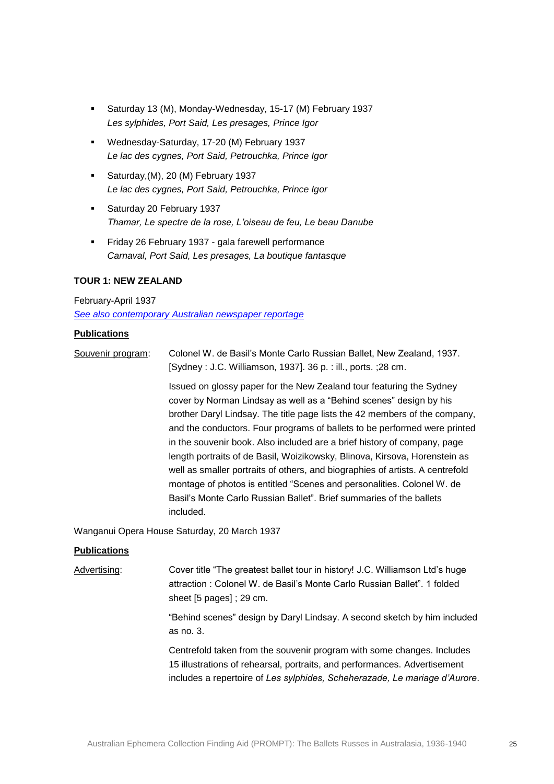- Saturday 13 (M), Monday-Wednesday, 15-17 (M) February 1937 *Les sylphides, Port Said, Les presages, Prince Igor*
- Wednesday-Saturday, 17-20 (M) February 1937 *Le lac des cygnes, Port Said, Petrouchka, Prince Igor*
- Saturday, (M), 20 (M) February 1937 *Le lac des cygnes, Port Said, Petrouchka, Prince Igor*
- **Saturday 20 February 1937** *Thamar, Le spectre de la rose, L'oiseau de feu, Le beau Danube*
- **Firiday 26 February 1937 gala farewell performance** *Carnaval, Port Said, Les presages, La boutique fantasque*

### **TOUR 1: NEW ZEALAND**

#### February-April 1937

*[See also contemporary Australian newspaper reportage](http://trove.nla.gov.au/newspaper/result?l-decade=193&q=%22Monte+Carlo+Russian+Ballet%22+new+zealand&l-year=1937)*

#### **Publications**

Souvenir program: Colonel W. de Basil's Monte Carlo Russian Ballet, New Zealand, 1937. [Sydney : J.C. Williamson, 1937]. 36 p. : ill., ports. ;28 cm. Issued on glossy paper for the New Zealand tour featuring the Sydney cover by Norman Lindsay as well as a "Behind scenes" design by his brother Daryl Lindsay. The title page lists the 42 members of the company, and the conductors. Four programs of ballets to be performed were printed in the souvenir book. Also included are a brief history of company, page length portraits of de Basil, Woizikowsky, Blinova, Kirsova, Horenstein as well as smaller portraits of others, and biographies of artists. A centrefold montage of photos is entitled "Scenes and personalities. Colonel W. de Basil's Monte Carlo Russian Ballet". Brief summaries of the ballets included.

Wanganui Opera House Saturday, 20 March 1937

### **Publications**

Advertising: Cover title "The greatest ballet tour in history! J.C. Williamson Ltd's huge attraction : Colonel W. de Basil's Monte Carlo Russian Ballet". 1 folded sheet [5 pages] ; 29 cm.

> "Behind scenes" design by Daryl Lindsay. A second sketch by him included as no. 3.

> Centrefold taken from the souvenir program with some changes. Includes 15 illustrations of rehearsal, portraits, and performances. Advertisement includes a repertoire of *Les sylphides, Scheherazade, Le mariage d'Aurore*.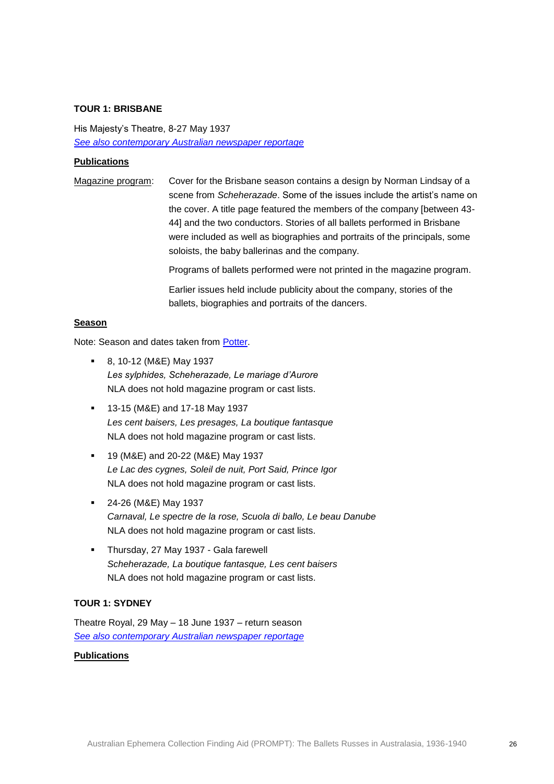#### **TOUR 1: BRISBANE**

His Majesty's Theatre, 8-27 May 1937 *[See also contemporary Australian newspaper reportage](http://trove.nla.gov.au/newspaper/result?l-decade=193&l-year=1937&q=%22Monte+Carlo+Russian+Ballet%22+brisbane&l-month=05)*

#### **Publications**

Magazine program: Cover for the Brisbane season contains a design by Norman Lindsay of a scene from *Scheherazade*. Some of the issues include the artist's name on the cover. A title page featured the members of the company [between 43- 44] and the two conductors. Stories of all ballets performed in Brisbane were included as well as biographies and portraits of the principals, some soloists, the baby ballerinas and the company.

Programs of ballets performed were not printed in the magazine program.

Earlier issues held include publicity about the company, stories of the ballets, biographies and portraits of the dancers.

#### **Season**

Note: Season and dates taken from [Potter.](http://nla.gov.au/anbd.bib-an11845459)

- 8, 10-12 (M&E) May 1937 *Les sylphides, Scheherazade, Le mariage d'Aurore* NLA does not hold magazine program or cast lists.
- 13-15 (M&E) and 17-18 May 1937 *Les cent baisers, Les presages, La boutique fantasque* NLA does not hold magazine program or cast lists.
- 19 (M&E) and 20-22 (M&E) May 1937 *Le Lac des cygnes, Soleil de nuit, Port Said, Prince Igor* NLA does not hold magazine program or cast lists.
- 24-26 (M&E) May 1937 *Carnaval, Le spectre de la rose, Scuola di ballo, Le beau Danube* NLA does not hold magazine program or cast lists.
- **Thursday, 27 May 1937 Gala farewell** *Scheherazade, La boutique fantasque, Les cent baisers* NLA does not hold magazine program or cast lists.

#### **TOUR 1: SYDNEY**

Theatre Royal, 29 May – 18 June 1937 – return season *[See also contemporary Australian newspaper reportage](http://trove.nla.gov.au/newspaper/result?l-decade=193&l-year=1937&q=%22Monte+Carlo+Russian+Ballet%22+sydney)*

### **Publications**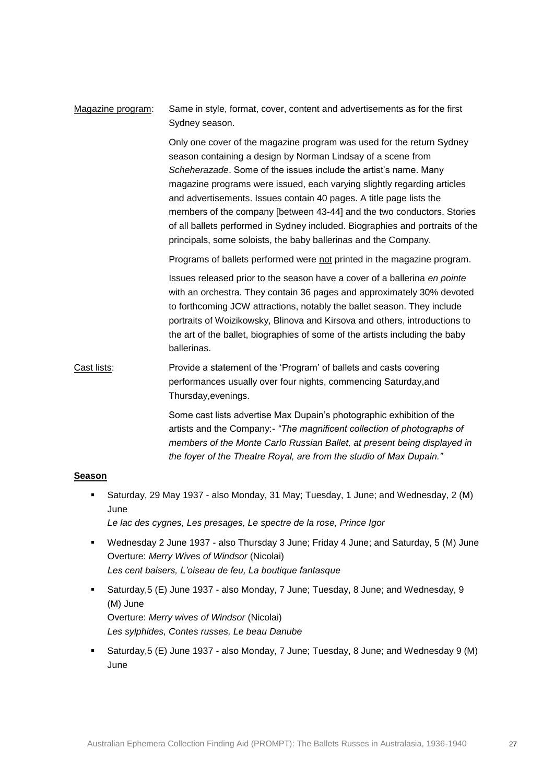# Magazine program: Same in style, format, cover, content and advertisements as for the first Sydney season.

Only one cover of the magazine program was used for the return Sydney season containing a design by Norman Lindsay of a scene from *Scheherazade*. Some of the issues include the artist's name. Many magazine programs were issued, each varying slightly regarding articles and advertisements. Issues contain 40 pages. A title page lists the members of the company [between 43-44] and the two conductors. Stories of all ballets performed in Sydney included. Biographies and portraits of the principals, some soloists, the baby ballerinas and the Company.

Programs of ballets performed were not printed in the magazine program.

Issues released prior to the season have a cover of a ballerina *en pointe* with an orchestra. They contain 36 pages and approximately 30% devoted to forthcoming JCW attractions, notably the ballet season. They include portraits of Woizikowsky, Blinova and Kirsova and others, introductions to the art of the ballet, biographies of some of the artists including the baby ballerinas.

Cast lists: Provide a statement of the 'Program' of ballets and casts covering performances usually over four nights, commencing Saturday,and Thursday,evenings.

> Some cast lists advertise Max Dupain's photographic exhibition of the artists and the Company:- *"The magnificent collection of photographs of members of the Monte Carlo Russian Ballet, at present being displayed in the foyer of the Theatre Royal, are from the studio of Max Dupain."*

#### **Season**

 Saturday, 29 May 1937 - also Monday, 31 May; Tuesday, 1 June; and Wednesday, 2 (M) June

*Le lac des cygnes, Les presages, Le spectre de la rose, Prince Igor*

- Wednesday 2 June 1937 also Thursday 3 June; Friday 4 June; and Saturday, 5 (M) June Overture: *Merry Wives of Windsor* (Nicolai) *Les cent baisers, L'oiseau de feu, La boutique fantasque*
- Saturday,5 (E) June 1937 also Monday, 7 June; Tuesday, 8 June; and Wednesday, 9 (M) June Overture: *Merry wives of Windsor* (Nicolai) *Les sylphides, Contes russes, Le beau Danube*
- Saturday,5 (E) June 1937 also Monday, 7 June; Tuesday, 8 June; and Wednesday 9 (M) June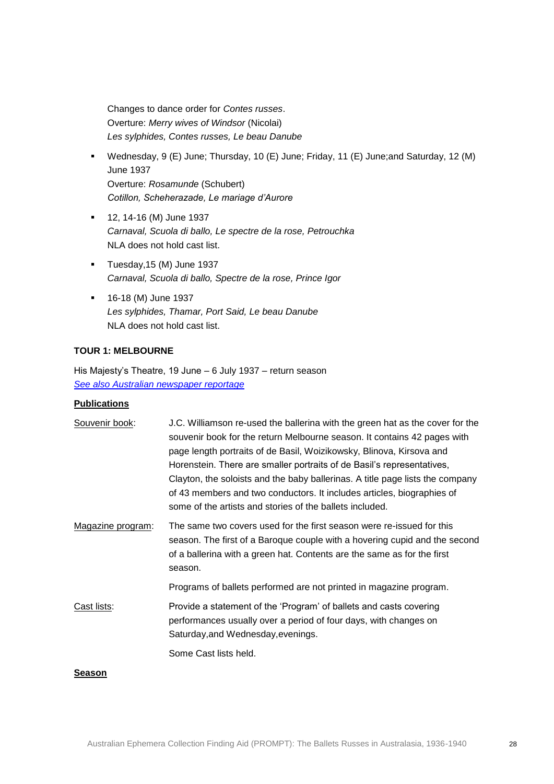Changes to dance order for *Contes russes*. Overture: *Merry wives of Windsor* (Nicolai) *Les sylphides, Contes russes, Le beau Danube*

- Wednesday, 9 (E) June; Thursday, 10 (E) June; Friday, 11 (E) June;and Saturday, 12 (M) June 1937 Overture: *Rosamunde* (Schubert) *Cotillon, Scheherazade, Le mariage d'Aurore*
- 12, 14-16 (M) June 1937 *Carnaval, Scuola di ballo, Le spectre de la rose, Petrouchka* NLA does not hold cast list.
- Tuesday,15 (M) June 1937 *Carnaval, Scuola di ballo, Spectre de la rose, Prince Igor*
- 16-18 (M) June 1937 *Les sylphides, Thamar, Port Said, Le beau Danube* NLA does not hold cast list.

### **TOUR 1: MELBOURNE**

His Majesty's Theatre, 19 June – 6 July 1937 – return season *[See also Australian newspaper reportage](http://trove.nla.gov.au/newspaper/result?l-decade=193&l-year=1937&q=%22Monte+Carlo+Russian+Ballet%22+melbourne+return)*

### **Publications**

| Souvenir book:    | J.C. Williamson re-used the ballerina with the green hat as the cover for the<br>souvenir book for the return Melbourne season. It contains 42 pages with<br>page length portraits of de Basil, Woizikowsky, Blinova, Kirsova and<br>Horenstein. There are smaller portraits of de Basil's representatives,<br>Clayton, the soloists and the baby ballerinas. A title page lists the company<br>of 43 members and two conductors. It includes articles, biographies of<br>some of the artists and stories of the ballets included. |
|-------------------|------------------------------------------------------------------------------------------------------------------------------------------------------------------------------------------------------------------------------------------------------------------------------------------------------------------------------------------------------------------------------------------------------------------------------------------------------------------------------------------------------------------------------------|
| Magazine program: | The same two covers used for the first season were re-issued for this<br>season. The first of a Baroque couple with a hovering cupid and the second<br>of a ballerina with a green hat. Contents are the same as for the first<br>season.                                                                                                                                                                                                                                                                                          |
|                   | Programs of ballets performed are not printed in magazine program.                                                                                                                                                                                                                                                                                                                                                                                                                                                                 |
| Cast lists:       | Provide a statement of the 'Program' of ballets and casts covering<br>performances usually over a period of four days, with changes on<br>Saturday, and Wednesday, evenings.                                                                                                                                                                                                                                                                                                                                                       |
|                   | Some Cast lists held.                                                                                                                                                                                                                                                                                                                                                                                                                                                                                                              |
| <b>Season</b>     |                                                                                                                                                                                                                                                                                                                                                                                                                                                                                                                                    |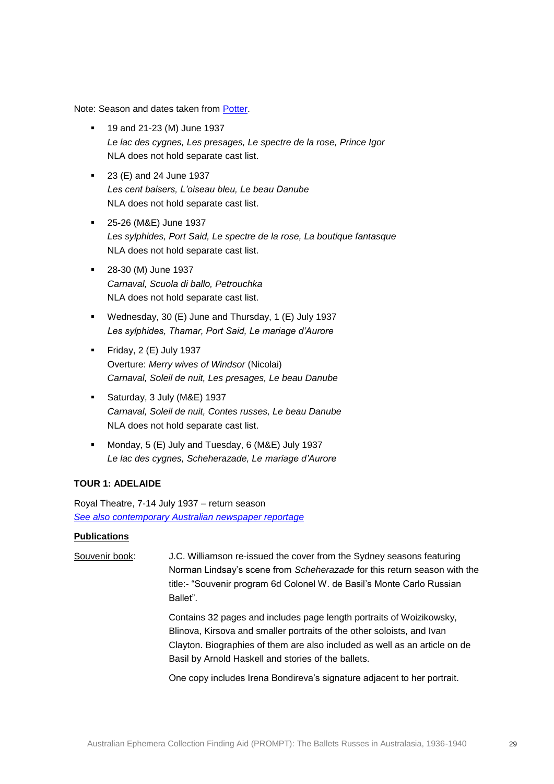Note: Season and dates taken from [Potter.](http://nla.gov.au/anbd.bib-an11845459)

- **19 and 21-23 (M) June 1937** *Le lac des cygnes, Les presages, Le spectre de la rose, Prince Igor* NLA does not hold separate cast list.
- **23 (E) and 24 June 1937** *Les cent baisers, L'oiseau bleu, Le beau Danube* NLA does not hold separate cast list.
- 25-26 (M&E) June 1937 *Les sylphides, Port Said, Le spectre de la rose, La boutique fantasque* NLA does not hold separate cast list.
- **28-30 (M) June 1937** *Carnaval, Scuola di ballo, Petrouchka* NLA does not hold separate cast list.
- Wednesday, 30 (E) June and Thursday, 1 (E) July 1937 *Les sylphides, Thamar, Port Said, Le mariage d'Aurore*
- Friday,  $2$  (E) July 1937 Overture: *Merry wives of Windsor* (Nicolai) *Carnaval, Soleil de nuit, Les presages, Le beau Danube*
- Saturday, 3 July (M&E) 1937 *Carnaval, Soleil de nuit, Contes russes, Le beau Danube* NLA does not hold separate cast list.
- Monday, 5 (E) July and Tuesday, 6 (M&E) July 1937 *Le lac des cygnes, Scheherazade, Le mariage d'Aurore*

### **TOUR 1: ADELAIDE**

Royal Theatre, 7-14 July 1937 – return season *[See also contemporary Australian newspaper reportage](http://trove.nla.gov.au/newspaper/result?l-decade=193&l-year=1937&q=%22Monte+Carlo+Russian+Ballet%22+adelaide&l-month=07)*

### **Publications**

Souvenir book: J.C. Williamson re-issued the cover from the Sydney seasons featuring Norman Lindsay's scene from *Scheherazade* for this return season with the title:- "Souvenir program 6d Colonel W. de Basil's Monte Carlo Russian Ballet".

> Contains 32 pages and includes page length portraits of Woizikowsky, Blinova, Kirsova and smaller portraits of the other soloists, and Ivan Clayton. Biographies of them are also included as well as an article on de Basil by Arnold Haskell and stories of the ballets.

One copy includes Irena Bondireva's signature adjacent to her portrait.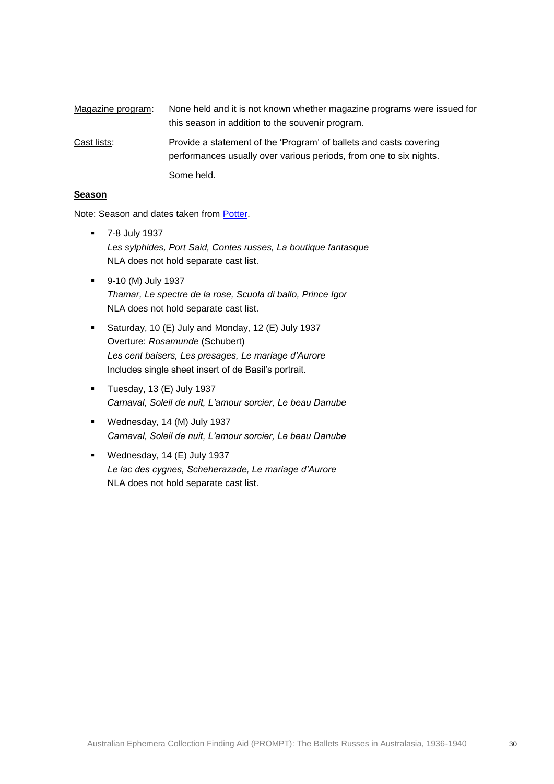| Magazine program: | None held and it is not known whether magazine programs were issued for<br>this season in addition to the souvenir program.              |
|-------------------|------------------------------------------------------------------------------------------------------------------------------------------|
| Cast lists:       | Provide a statement of the 'Program' of ballets and casts covering<br>performances usually over various periods, from one to six nights. |
|                   | Some held.                                                                                                                               |

#### **Season**

Note: Season and dates taken from [Potter.](http://nla.gov.au/anbd.bib-an11845459)

- 7-8 July 1937 *Les sylphides, Port Said, Contes russes, La boutique fantasque* NLA does not hold separate cast list.
- 9-10 (M) July 1937 *Thamar, Le spectre de la rose, Scuola di ballo, Prince Igor* NLA does not hold separate cast list.
- Saturday, 10 (E) July and Monday, 12 (E) July 1937 Overture: *Rosamunde* (Schubert) *Les cent baisers, Les presages, Le mariage d'Aurore* Includes single sheet insert of de Basil's portrait.
- $\blacksquare$  Tuesday, 13 (E) July 1937 *Carnaval, Soleil de nuit, L'amour sorcier, Le beau Danube*
- Wednesday, 14 (M) July 1937 *Carnaval, Soleil de nuit, L'amour sorcier, Le beau Danube*
- Wednesday, 14 (E) July 1937 *Le lac des cygnes, Scheherazade, Le mariage d'Aurore* NLA does not hold separate cast list.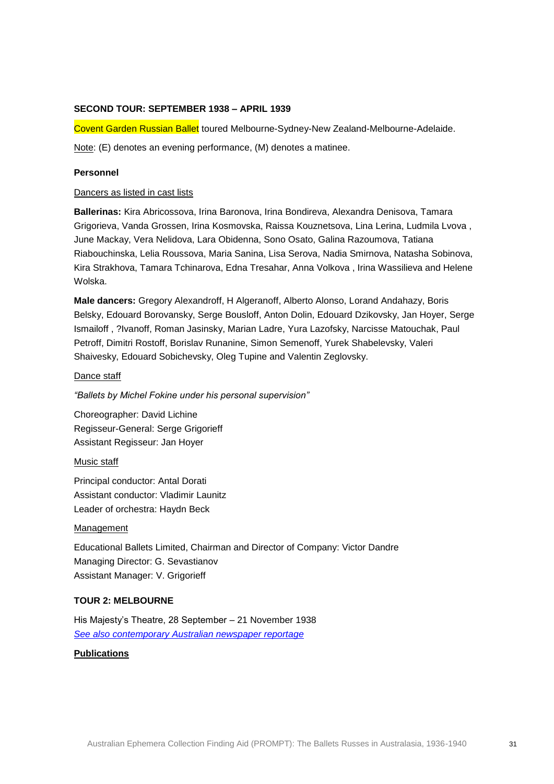#### **SECOND TOUR: SEPTEMBER 1938 – APRIL 1939**

Covent Garden Russian Ballet toured Melbourne-Sydney-New Zealand-Melbourne-Adelaide.

Note: (E) denotes an evening performance, (M) denotes a matinee.

### **Personnel**

#### Dancers as listed in cast lists

**Ballerinas:** Kira Abricossova, Irina Baronova, Irina Bondireva, Alexandra Denisova, Tamara Grigorieva, Vanda Grossen, Irina Kosmovska, Raissa Kouznetsova, Lina Lerina, Ludmila Lvova , June Mackay, Vera Nelidova, Lara Obidenna, Sono Osato, Galina Razoumova, Tatiana Riabouchinska, Lelia Roussova, Maria Sanina, Lisa Serova, Nadia Smirnova, Natasha Sobinova, Kira Strakhova, Tamara Tchinarova, Edna Tresahar, Anna Volkova , Irina Wassilieva and Helene Wolska.

**Male dancers:** Gregory Alexandroff, H Algeranoff, Alberto Alonso, Lorand Andahazy, Boris Belsky, Edouard Borovansky, Serge Bousloff, Anton Dolin, Edouard Dzikovsky, Jan Hoyer, Serge Ismailoff , ?Ivanoff, Roman Jasinsky, Marian Ladre, Yura Lazofsky, Narcisse Matouchak, Paul Petroff, Dimitri Rostoff, Borislav Runanine, Simon Semenoff, Yurek Shabelevsky, Valeri Shaivesky, Edouard Sobichevsky, Oleg Tupine and Valentin Zeglovsky.

#### Dance staff

*"Ballets by Michel Fokine under his personal supervision"*

Choreographer: David Lichine Regisseur-General: Serge Grigorieff Assistant Regisseur: Jan Hoyer

#### Music staff

Principal conductor: Antal Dorati Assistant conductor: Vladimir Launitz Leader of orchestra: Haydn Beck

#### Management

Educational Ballets Limited, Chairman and Director of Company: Victor Dandre Managing Director: G. Sevastianov Assistant Manager: V. Grigorieff

### **TOUR 2: MELBOURNE**

His Majesty's Theatre, 28 September – 21 November 1938 *[See also contemporary Australian newspaper reportage](http://trove.nla.gov.au/newspaper/result?l-decade=193&q=%22Covent+Garden+Russian+Ballet%22+melbourne&l-year=1938)*

#### **Publications**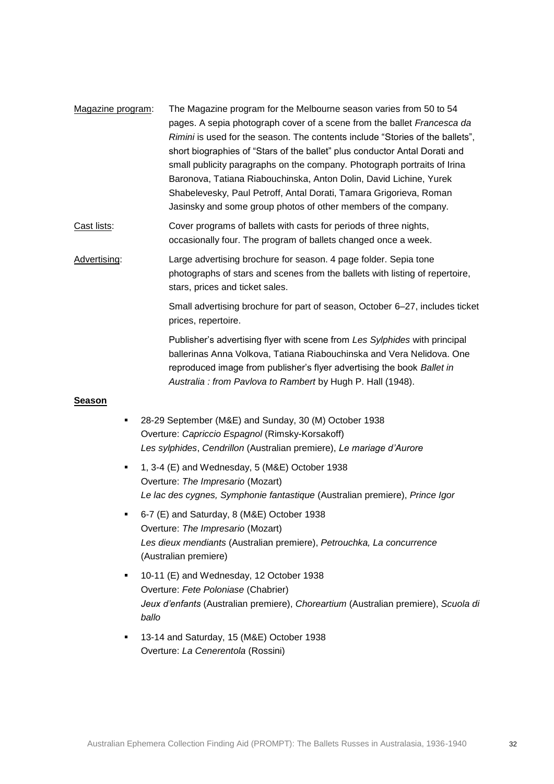- Magazine program: The Magazine program for the Melbourne season varies from 50 to 54 pages. A sepia photograph cover of a scene from the ballet *Francesca da Rimini* is used for the season. The contents include "Stories of the ballets", short biographies of "Stars of the ballet" plus conductor Antal Dorati and small publicity paragraphs on the company. Photograph portraits of Irina Baronova, Tatiana Riabouchinska, Anton Dolin, David Lichine, Yurek Shabelevesky, Paul Petroff, Antal Dorati, Tamara Grigorieva, Roman Jasinsky and some group photos of other members of the company.
- Cast lists: Cover programs of ballets with casts for periods of three nights, occasionally four. The program of ballets changed once a week.

Advertising: Large advertising brochure for season. 4 page folder. Sepia tone photographs of stars and scenes from the ballets with listing of repertoire, stars, prices and ticket sales.

> Small advertising brochure for part of season, October 6–27, includes ticket prices, repertoire.

Publisher's advertising flyer with scene from *Les Sylphides* with principal ballerinas Anna Volkova, Tatiana Riabouchinska and Vera Nelidova. One reproduced image from publisher's flyer advertising the book *Ballet in Australia : from Pavlova to Rambert* by Hugh P. Hall (1948).

### **Season**

- 28-29 September (M&E) and Sunday, 30 (M) October 1938 Overture: *Capriccio Espagnol* (Rimsky-Korsakoff) *Les sylphides*, *Cendrillon* (Australian premiere), *Le mariage d'Aurore*
- 1, 3-4 (E) and Wednesday, 5 (M&E) October 1938 Overture: *The Impresario* (Mozart) *Le lac des cygnes, Symphonie fantastique* (Australian premiere), *Prince Igor*
- 6-7 (E) and Saturday, 8 (M&E) October 1938 Overture: *The Impresario* (Mozart) *Les dieux mendiants* (Australian premiere), *Petrouchka, La concurrence* (Australian premiere)
- 10-11 (E) and Wednesday, 12 October 1938 Overture: *Fete Poloniase* (Chabrier) *Jeux d'enfants* (Australian premiere), *Choreartium* (Australian premiere), *Scuola di ballo*
- 13-14 and Saturday, 15 (M&E) October 1938 Overture: *La Cenerentola* (Rossini)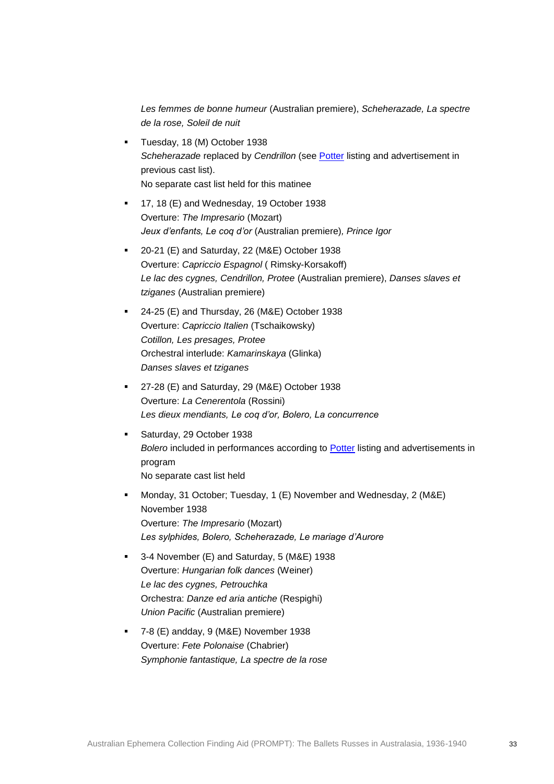*Les femmes de bonne humeur* (Australian premiere), *Scheherazade, La spectre de la rose, Soleil de nuit*

- Tuesday, 18 (M) October 1938 *Scheherazade* replaced by *Cendrillon* (see [Potter](http://nla.gov.au/anbd.bib-an11845459) listing and advertisement in previous cast list). No separate cast list held for this matinee
- 17, 18 (E) and Wednesday, 19 October 1938 Overture: *The Impresario* (Mozart) *Jeux d'enfants, Le coq d'or* (Australian premiere)*, Prince Igor*
- 20-21 (E) and Saturday, 22 (M&E) October 1938 Overture: *Capriccio Espagnol* ( Rimsky-Korsakoff) *Le lac des cygnes, Cendrillon, Protee* (Australian premiere), *Danses slaves et tziganes* (Australian premiere)
- 24-25 (E) and Thursday, 26 (M&E) October 1938 Overture: *Capriccio Italien* (Tschaikowsky) *Cotillon, Les presages, Protee*  Orchestral interlude: *Kamarinskaya* (Glinka) *Danses slaves et tziganes*
- 27-28 (E) and Saturday, 29 (M&E) October 1938 Overture: *La Cenerentola* (Rossini) *Les dieux mendiants, Le coq d'or, Bolero, La concurrence*
- **Saturday, 29 October 1938** *Bolero* included in performances according to [Potter](http://nla.gov.au/anbd.bib-an11845459) listing and advertisements in program No separate cast list held
- Monday, 31 October; Tuesday, 1 (E) November and Wednesday, 2 (M&E) November 1938 Overture: *The Impresario* (Mozart) *Les sylphides, Bolero, Scheherazade, Le mariage d'Aurore*
- 3-4 November (E) and Saturday, 5 (M&E) 1938 Overture: *Hungarian folk dances* (Weiner) *Le lac des cygnes, Petrouchka* Orchestra: *Danze ed aria antiche* (Respighi) *Union Pacific* (Australian premiere)
- 7-8 (E) andday, 9 (M&E) November 1938 Overture: *Fete Polonaise* (Chabrier) *Symphonie fantastique, La spectre de la rose*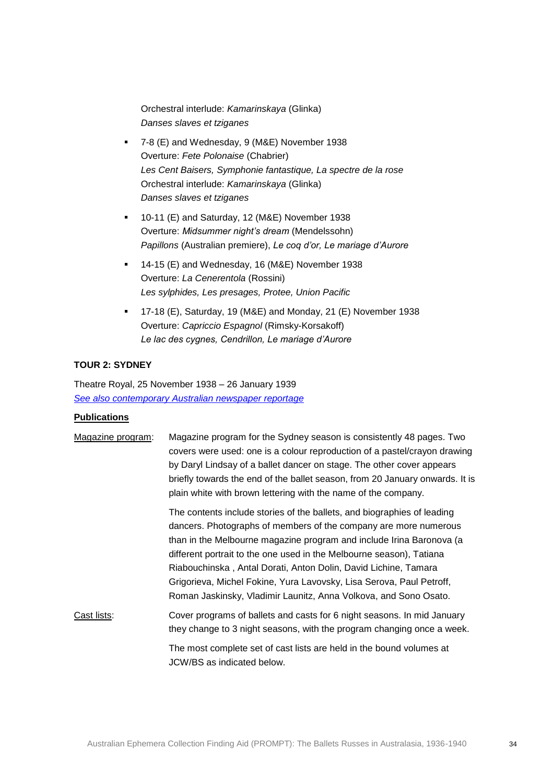Orchestral interlude: *Kamarinskaya* (Glinka) *Danses slaves et tziganes* 

- 7-8 (E) and Wednesday, 9 (M&E) November 1938 Overture: *Fete Polonaise* (Chabrier) *Les Cent Baisers, Symphonie fantastique, La spectre de la rose*  Orchestral interlude: *Kamarinskaya* (Glinka) *Danses slaves et tziganes*
- 10-11 (E) and Saturday, 12 (M&E) November 1938 Overture: *Midsummer night's dream* (Mendelssohn) *Papillons* (Australian premiere), *Le coq d'or, Le mariage d'Aurore*
- 14-15 (E) and Wednesday, 16 (M&E) November 1938 Overture: *La Cenerentola* (Rossini) *Les sylphides, Les presages, Protee, Union Pacific*
- 17-18 (E), Saturday, 19 (M&E) and Monday, 21 (E) November 1938 Overture: *Capriccio Espagnol* (Rimsky-Korsakoff) *Le lac des cygnes, Cendrillon, Le mariage d'Aurore*

# **TOUR 2: SYDNEY**

Theatre Royal, 25 November 1938 – 26 January 1939 *[See also contemporary Australian newspaper reportage](http://trove.nla.gov.au/newspaper/result?l-decade=193&q=%22Covent+Garden+Russian+Ballet%22+sydney)*

#### **Publications**

| Magazine program: | Magazine program for the Sydney season is consistently 48 pages. Two<br>covers were used: one is a colour reproduction of a pastel/crayon drawing<br>by Daryl Lindsay of a ballet dancer on stage. The other cover appears<br>briefly towards the end of the ballet season, from 20 January onwards. It is<br>plain white with brown lettering with the name of the company.                                                                                                                               |
|-------------------|------------------------------------------------------------------------------------------------------------------------------------------------------------------------------------------------------------------------------------------------------------------------------------------------------------------------------------------------------------------------------------------------------------------------------------------------------------------------------------------------------------|
|                   | The contents include stories of the ballets, and biographies of leading<br>dancers. Photographs of members of the company are more numerous<br>than in the Melbourne magazine program and include Irina Baronova (a<br>different portrait to the one used in the Melbourne season), Tatiana<br>Riabouchinska, Antal Dorati, Anton Dolin, David Lichine, Tamara<br>Grigorieva, Michel Fokine, Yura Lavovsky, Lisa Serova, Paul Petroff,<br>Roman Jaskinsky, Vladimir Launitz, Anna Volkova, and Sono Osato. |
| Cast lists:       | Cover programs of ballets and casts for 6 night seasons. In mid January<br>they change to 3 night seasons, with the program changing once a week.                                                                                                                                                                                                                                                                                                                                                          |
|                   | The most complete set of cast lists are held in the bound volumes at<br>JCW/BS as indicated below.                                                                                                                                                                                                                                                                                                                                                                                                         |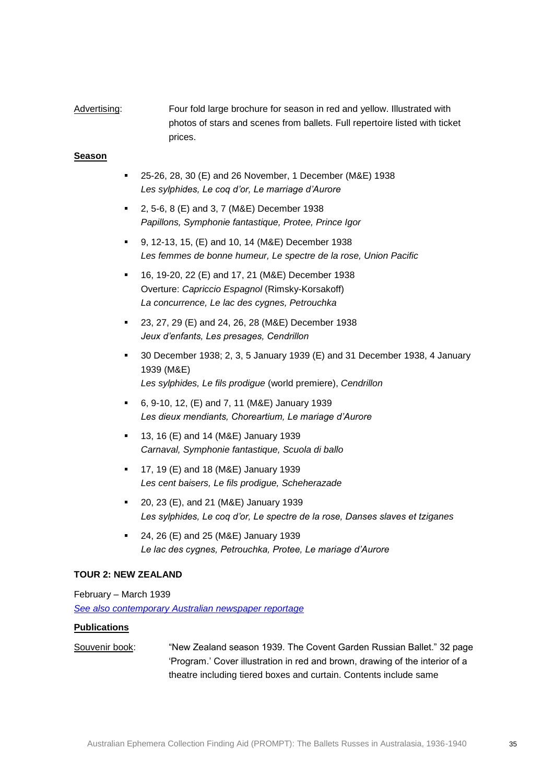# Advertising: Four fold large brochure for season in red and yellow. Illustrated with photos of stars and scenes from ballets. Full repertoire listed with ticket prices.

### **Season**

- 25-26, 28, 30 (E) and 26 November, 1 December (M&E) 1938 *Les sylphides, Le coq d'or, Le marriage d'Aurore*
- 2, 5-6, 8 (E) and 3, 7 (M&E) December 1938 *Papillons, Symphonie fantastique, Protee, Prince Igor*
- 9, 12-13, 15, (E) and 10, 14 (M&E) December 1938 *Les femmes de bonne humeur, Le spectre de la rose, Union Pacific*
- 16, 19-20, 22 (E) and 17, 21 (M&E) December 1938 Overture: *Capriccio Espagnol* (Rimsky-Korsakoff) *La concurrence, Le lac des cygnes, Petrouchka*
- 23, 27, 29 (E) and 24, 26, 28 (M&E) December 1938 *Jeux d'enfants, Les presages, Cendrillon*
- 30 December 1938; 2, 3, 5 January 1939 (E) and 31 December 1938, 4 January 1939 (M&E) *Les sylphides, Le fils prodigue* (world premiere), *Cendrillon*
- 6, 9-10, 12, (E) and 7, 11 (M&E) January 1939 *Les dieux mendiants, Choreartium, Le mariage d'Aurore*
- **13, 16 (E) and 14 (M&E) January 1939** *Carnaval, Symphonie fantastique, Scuola di ballo*
- 17, 19 (E) and 18 (M&E) January 1939 *Les cent baisers, Le fils prodigue, Scheherazade*
- 20, 23 (E), and 21 (M&E) January 1939 *Les sylphides, Le coq d'or, Le spectre de la rose, Danses slaves et tziganes*
- 24, 26 (E) and 25 (M&E) January 1939 *Le lac des cygnes, Petrouchka, Protee, Le mariage d'Aurore*

### **TOUR 2: NEW ZEALAND**

February – March 1939 *[See also contemporary Australian newspaper reportage](http://trove.nla.gov.au/newspaper/result?l-decade=193&l-year=1939&q=%22Covent+Garden+Russian+Ballet%22+new+zealand)*

### **Publications**

Souvenir book: "New Zealand season 1939. The Covent Garden Russian Ballet." 32 page 'Program.' Cover illustration in red and brown, drawing of the interior of a theatre including tiered boxes and curtain. Contents include same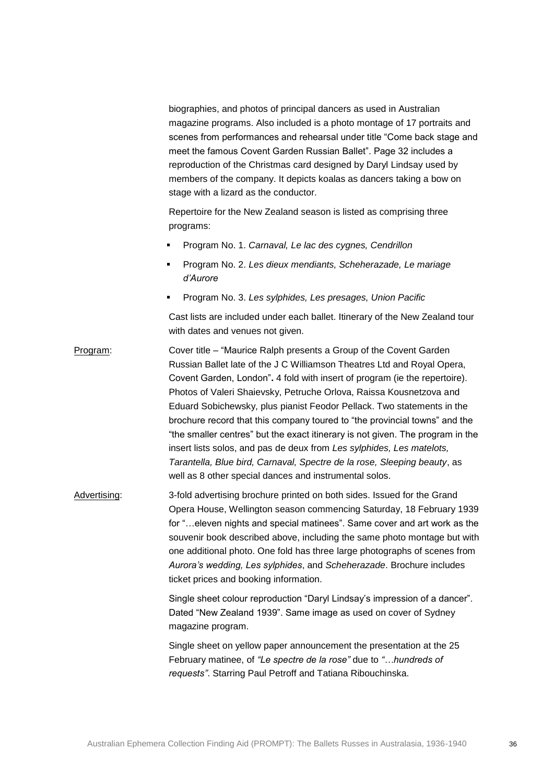biographies, and photos of principal dancers as used in Australian magazine programs. Also included is a photo montage of 17 portraits and scenes from performances and rehearsal under title "Come back stage and meet the famous Covent Garden Russian Ballet". Page 32 includes a reproduction of the Christmas card designed by Daryl Lindsay used by members of the company. It depicts koalas as dancers taking a bow on stage with a lizard as the conductor.

Repertoire for the New Zealand season is listed as comprising three programs:

- Program No. 1. *Carnaval, Le lac des cygnes, Cendrillon*
- Program No. 2. *Les dieux mendiants, Scheherazade, Le mariage d'Aurore*
- Program No. 3. *Les sylphides, Les presages, Union Pacific*

Cast lists are included under each ballet. Itinerary of the New Zealand tour with dates and venues not given.

Program: Cover title – "Maurice Ralph presents a Group of the Covent Garden Russian Ballet late of the J C Williamson Theatres Ltd and Royal Opera, Covent Garden, London"**.** 4 fold with insert of program (ie the repertoire). Photos of Valeri Shaievsky, Petruche Orlova, Raissa Kousnetzova and Eduard Sobichewsky, plus pianist Feodor Pellack. Two statements in the brochure record that this company toured to "the provincial towns" and the "the smaller centres" but the exact itinerary is not given. The program in the insert lists solos, and pas de deux from *Les sylphides, Les matelots, Tarantella, Blue bird, Carnaval, Spectre de la rose, Sleeping beauty*, as well as 8 other special dances and instrumental solos.

Advertising: 3-fold advertising brochure printed on both sides. Issued for the Grand Opera House, Wellington season commencing Saturday, 18 February 1939 for "…eleven nights and special matinees". Same cover and art work as the souvenir book described above, including the same photo montage but with one additional photo. One fold has three large photographs of scenes from *Aurora's wedding, Les sylphides*, and *Scheherazade*. Brochure includes ticket prices and booking information.

> Single sheet colour reproduction "Daryl Lindsay's impression of a dancer". Dated "New Zealand 1939". Same image as used on cover of Sydney magazine program.

Single sheet on yellow paper announcement the presentation at the 25 February matinee, of *"Le spectre de la rose"* due to *"…hundreds of requests"*. Starring Paul Petroff and Tatiana Ribouchinska.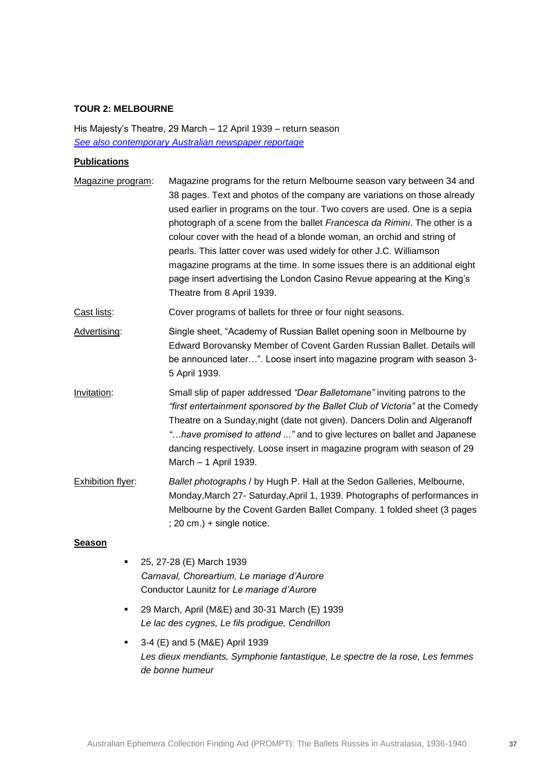### **TOUR 2: MELBOURNE**

His Majesty's Theatre, 29 March – 12 April 1939 – return season *[See also contemporary Australian newspaper reportage](http://trove.nla.gov.au/newspaper/result?l-decade=193&l-year=1939&q=%22Covent+Garden+Russian+Ballet%22+melbourne)*

### **Publications**

| Magazine program: | Magazine programs for the return Melbourne season vary between 34 and<br>38 pages. Text and photos of the company are variations on those already<br>used earlier in programs on the tour. Two covers are used. One is a sepia<br>photograph of a scene from the ballet Francesca da Rimini. The other is a<br>colour cover with the head of a blonde woman, an orchid and string of<br>pearls. This latter cover was used widely for other J.C. Williamson<br>magazine programs at the time. In some issues there is an additional eight<br>page insert advertising the London Casino Revue appearing at the King's<br>Theatre from 8 April 1939. |
|-------------------|----------------------------------------------------------------------------------------------------------------------------------------------------------------------------------------------------------------------------------------------------------------------------------------------------------------------------------------------------------------------------------------------------------------------------------------------------------------------------------------------------------------------------------------------------------------------------------------------------------------------------------------------------|
| Cast lists:       | Cover programs of ballets for three or four night seasons.                                                                                                                                                                                                                                                                                                                                                                                                                                                                                                                                                                                         |
| Advertising:      | Single sheet, "Academy of Russian Ballet opening soon in Melbourne by<br>Edward Borovansky Member of Covent Garden Russian Ballet. Details will<br>be announced later". Loose insert into magazine program with season 3-<br>5 April 1939.                                                                                                                                                                                                                                                                                                                                                                                                         |
| Invitation:       | Small slip of paper addressed "Dear Balletomane" inviting patrons to the<br>"first entertainment sponsored by the Ballet Club of Victoria" at the Comedy<br>Theatre on a Sunday, night (date not given). Dancers Dolin and Algeranoff<br>"have promised to attend " and to give lectures on ballet and Japanese<br>dancing respectively. Loose insert in magazine program with season of 29<br>March - 1 April 1939.                                                                                                                                                                                                                               |
| Exhibition flyer: | Ballet photographs / by Hugh P. Hall at the Sedon Galleries, Melbourne,<br>Monday, March 27- Saturday, April 1, 1939. Photographs of performances in<br>Melbourne by the Covent Garden Ballet Company. 1 folded sheet (3 pages<br>$(20 \text{ cm.}) + \text{single notice}.$                                                                                                                                                                                                                                                                                                                                                                       |

#### **Season**

- 25, 27-28 (E) March 1939 *Carnaval, Choreartium, Le mariage d'Aurore* Conductor Launitz for *Le mariage d'Aurore*
- <sup>2</sup> 29 March, April (M&E) and 30-31 March (E) 1939 *Le lac des cygnes, Le fils prodigue, Cendrillon*
- 3-4 (E) and 5 (M&E) April 1939 *Les dieux mendiants, Symphonie fantastique, Le spectre de la rose, Les femmes de bonne humeur*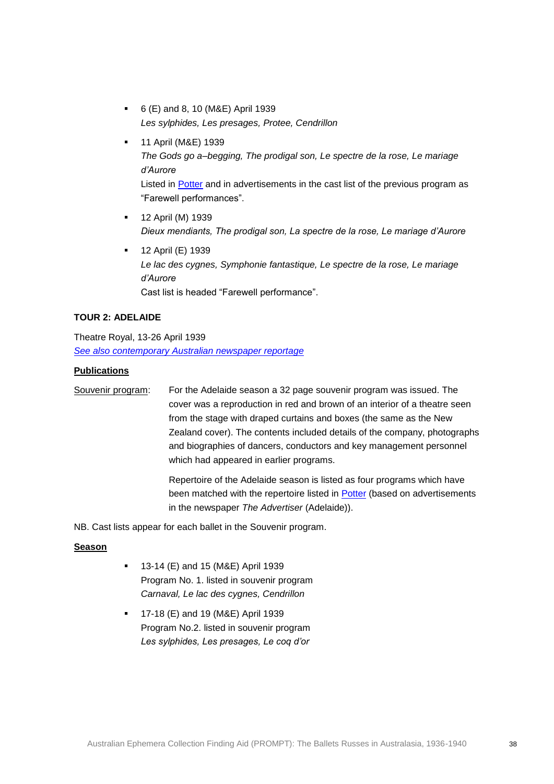- 6 (E) and 8, 10 (M&E) April 1939 *Les sylphides, Les presages, Protee, Cendrillon*
- **11 April (M&E) 1939** *The Gods go a–begging, The prodigal son, Le spectre de la rose, Le mariage d'Aurore* Listed in [Potter](http://nla.gov.au/anbd.bib-an11845459) and in advertisements in the cast list of the previous program as "Farewell performances".
- 12 April (M) 1939 *Dieux mendiants, The prodigal son, La spectre de la rose, Le mariage d'Aurore*
- 12 April (E) 1939 *Le lac des cygnes, Symphonie fantastique, Le spectre de la rose, Le mariage d'Aurore*  Cast list is headed "Farewell performance".

### **TOUR 2: ADELAIDE**

Theatre Royal, 13-26 April 1939 *[See also contemporary Australian newspaper reportage](http://trove.nla.gov.au/newspaper/result?l-decade=193&l-year=1939&q=%22Covent+Garden+Russian+Ballet%22+adelaide&l-month=04)*

#### **Publications**

Souvenir program: For the Adelaide season a 32 page souvenir program was issued. The cover was a reproduction in red and brown of an interior of a theatre seen from the stage with draped curtains and boxes (the same as the New Zealand cover). The contents included details of the company, photographs and biographies of dancers, conductors and key management personnel which had appeared in earlier programs.

> Repertoire of the Adelaide season is listed as four programs which have been matched with the repertoire listed in **Potter** (based on advertisements in the newspaper *The Advertiser* (Adelaide)).

NB. Cast lists appear for each ballet in the Souvenir program.

### **Season**

- 13-14 (E) and 15 (M&E) April 1939 Program No. 1. listed in souvenir program *Carnaval, Le lac des cygnes, Cendrillon*
- 17-18 (E) and 19 (M&E) April 1939 Program No.2. listed in souvenir program *Les sylphides, Les presages, Le coq d'or*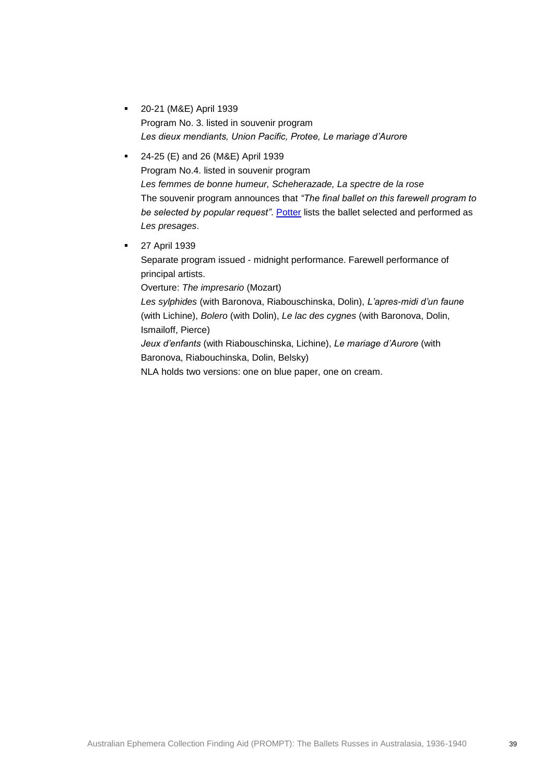- 20-21 (M&E) April 1939 Program No. 3. listed in souvenir program *Les dieux mendiants, Union Pacific, Protee, Le mariage d'Aurore*
- 24-25 (E) and 26 (M&E) April 1939 Program No.4. listed in souvenir program *Les femmes de bonne humeur, Scheherazade, La spectre de la rose* The souvenir program announces that *"The final ballet on this farewell program to be selected by popular request"*. [Potter](http://nla.gov.au/anbd.bib-an11845459) lists the ballet selected and performed as *Les presages*.
- **27 April 1939**

Separate program issued - midnight performance. Farewell performance of principal artists.

Overture: *The impresario* (Mozart)

*Les sylphides* (with Baronova, Riabouschinska, Dolin), *L'apres-midi d'un faune* (with Lichine), *Bolero* (with Dolin), *Le lac des cygnes* (with Baronova, Dolin, Ismailoff, Pierce)

*Jeux d'enfants* (with Riabouschinska, Lichine), *Le mariage d'Aurore* (with Baronova, Riabouchinska, Dolin, Belsky)

NLA holds two versions: one on blue paper, one on cream.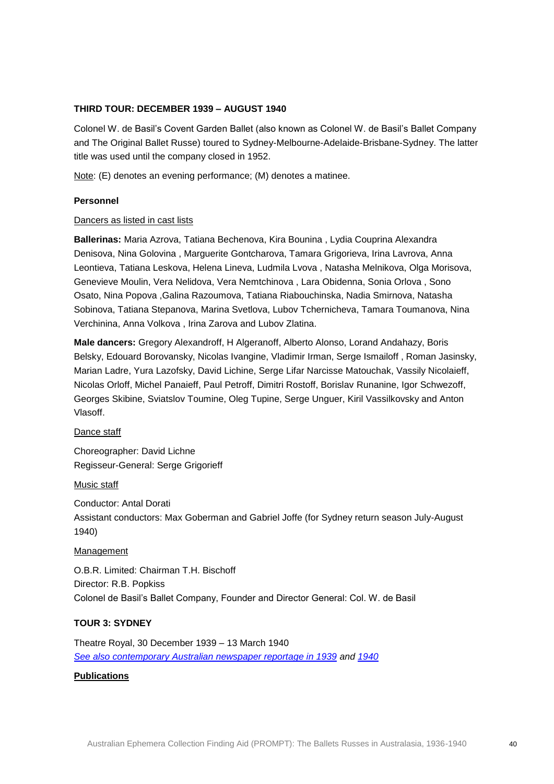### **THIRD TOUR: DECEMBER 1939 – AUGUST 1940**

Colonel W. de Basil's Covent Garden Ballet (also known as Colonel W. de Basil's Ballet Company and The Original Ballet Russe) toured to Sydney-Melbourne-Adelaide-Brisbane-Sydney. The latter title was used until the company closed in 1952.

Note: (E) denotes an evening performance; (M) denotes a matinee.

### **Personnel**

### Dancers as listed in cast lists

**Ballerinas:** Maria Azrova, Tatiana Bechenova, Kira Bounina , Lydia Couprina Alexandra Denisova, Nina Golovina , Marguerite Gontcharova, Tamara Grigorieva, Irina Lavrova, Anna Leontieva, Tatiana Leskova, Helena Lineva, Ludmila Lvova , Natasha Melnikova, Olga Morisova, Genevieve Moulin, Vera Nelidova, Vera Nemtchinova , Lara Obidenna, Sonia Orlova , Sono Osato, Nina Popova ,Galina Razoumova, Tatiana Riabouchinska, Nadia Smirnova, Natasha Sobinova, Tatiana Stepanova, Marina Svetlova, Lubov Tchernicheva, Tamara Toumanova, Nina Verchinina, Anna Volkova , Irina Zarova and Lubov Zlatina.

**Male dancers:** Gregory Alexandroff, H Algeranoff, Alberto Alonso, Lorand Andahazy, Boris Belsky, Edouard Borovansky, Nicolas Ivangine, Vladimir Irman, Serge Ismailoff , Roman Jasinsky, Marian Ladre, Yura Lazofsky, David Lichine, Serge Lifar Narcisse Matouchak, Vassily Nicolaieff, Nicolas Orloff, Michel Panaieff, Paul Petroff, Dimitri Rostoff, Borislav Runanine, Igor Schwezoff, Georges Skibine, Sviatslov Toumine, Oleg Tupine, Serge Unguer, Kiril Vassilkovsky and Anton Vlasoff.

Dance staff

Choreographer: David Lichne Regisseur-General: Serge Grigorieff

Music staff

Conductor: Antal Dorati Assistant conductors: Max Goberman and Gabriel Joffe (for Sydney return season July-August 1940)

### Management

O.B.R. Limited: Chairman T.H. Bischoff Director: R.B. Popkiss Colonel de Basil's Ballet Company, Founder and Director General: Col. W. de Basil

### **TOUR 3: SYDNEY**

Theatre Royal, 30 December 1939 – 13 March 1940 *[See also contemporary Australian newspaper reportage in 1939](http://trove.nla.gov.au/newspaper/result?q=%22de+Basil%22+sydney&l-decade=193&l-year=1939) and [1940](http://trove.nla.gov.au/newspaper/result?q=%22de+Basil%22+sydney&l-decade=194&l-year=1940)*

#### **Publications**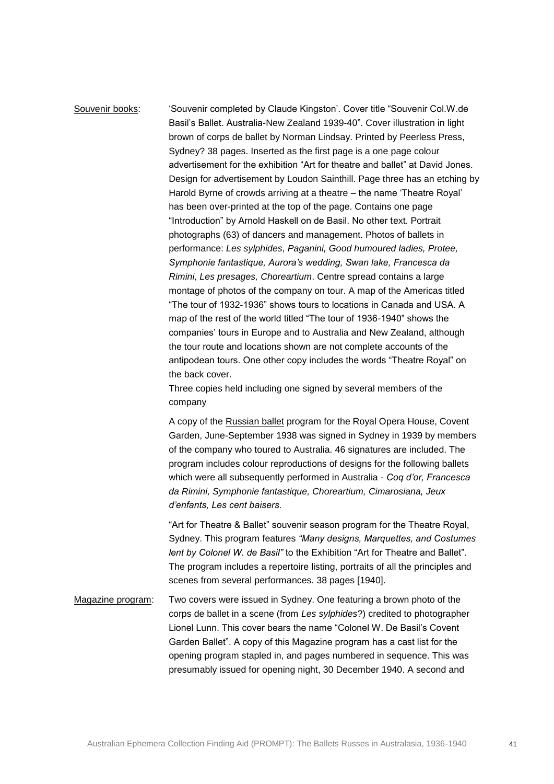Souvenir books: 'Souvenir completed by Claude Kingston'. Cover title "Souvenir Col.W.de Basil's Ballet. Australia-New Zealand 1939-40". Cover illustration in light brown of corps de ballet by Norman Lindsay. Printed by Peerless Press, Sydney? 38 pages. Inserted as the first page is a one page colour advertisement for the exhibition "Art for theatre and ballet" at David Jones. Design for advertisement by Loudon Sainthill. Page three has an etching by Harold Byrne of crowds arriving at a theatre – the name 'Theatre Royal' has been over-printed at the top of the page. Contains one page "Introduction" by Arnold Haskell on de Basil. No other text. Portrait photographs (63) of dancers and management. Photos of ballets in performance: *Les sylphides, Paganini, Good humoured ladies, Protee, Symphonie fantastique, Aurora's wedding, Swan lake, Francesca da Rimini, Les presages, Choreartium*. Centre spread contains a large montage of photos of the company on tour. A map of the Americas titled "The tour of 1932-1936" shows tours to locations in Canada and USA. A map of the rest of the world titled "The tour of 1936-1940" shows the companies' tours in Europe and to Australia and New Zealand, although the tour route and locations shown are not complete accounts of the antipodean tours. One other copy includes the words "Theatre Royal" on the back cover.

> Three copies held including one signed by several members of the company

A copy of the Russian ballet program for the Royal Opera House, Covent Garden, June-September 1938 was signed in Sydney in 1939 by members of the company who toured to Australia. 46 signatures are included. The program includes colour reproductions of designs for the following ballets which were all subsequently performed in Australia - *Coq d'or, Francesca da Rimini, Symphonie fantastique, Choreartium, Cimarosiana, Jeux d'enfants, Les cent baisers.*

"Art for Theatre & Ballet" souvenir season program for the Theatre Royal, Sydney. This program features *"Many designs, Marquettes, and Costumes lent by Colonel W. de Basil"* to the Exhibition "Art for Theatre and Ballet". The program includes a repertoire listing, portraits of all the principles and scenes from several performances. 38 pages [1940].

Magazine program: Two covers were issued in Sydney. One featuring a brown photo of the corps de ballet in a scene (from *Les sylphides*?) credited to photographer Lionel Lunn. This cover bears the name "Colonel W. De Basil's Covent Garden Ballet". A copy of this Magazine program has a cast list for the opening program stapled in, and pages numbered in sequence. This was presumably issued for opening night, 30 December 1940. A second and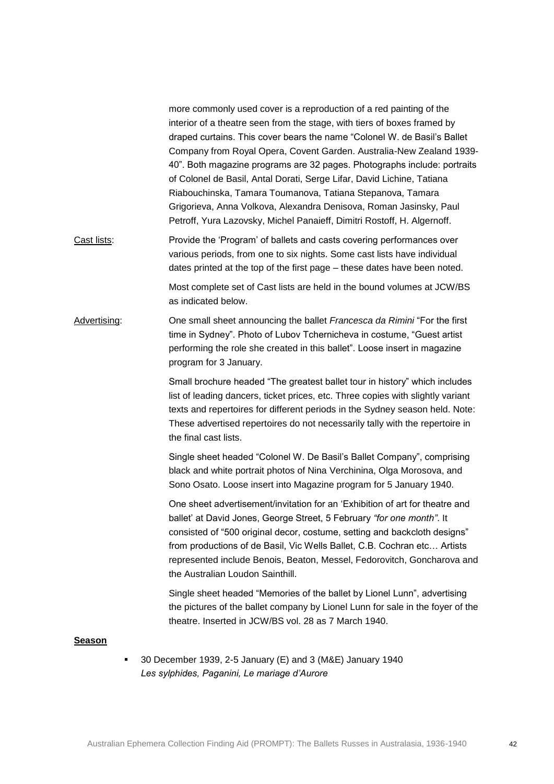more commonly used cover is a reproduction of a red painting of the interior of a theatre seen from the stage, with tiers of boxes framed by draped curtains. This cover bears the name "Colonel W. de Basil's Ballet Company from Royal Opera, Covent Garden. Australia-New Zealand 1939- 40". Both magazine programs are 32 pages. Photographs include: portraits of Colonel de Basil, Antal Dorati, Serge Lifar, David Lichine, Tatiana Riabouchinska, Tamara Toumanova, Tatiana Stepanova, Tamara Grigorieva, Anna Volkova, Alexandra Denisova, Roman Jasinsky, Paul Petroff, Yura Lazovsky, Michel Panaieff, Dimitri Rostoff, H. Algernoff.

Cast lists: Provide the 'Program' of ballets and casts covering performances over various periods, from one to six nights. Some cast lists have individual dates printed at the top of the first page – these dates have been noted.

> Most complete set of Cast lists are held in the bound volumes at JCW/BS as indicated below.

Advertising: One small sheet announcing the ballet *Francesca da Rimini* "For the first time in Sydney". Photo of Lubov Tchernicheva in costume, "Guest artist performing the role she created in this ballet". Loose insert in magazine program for 3 January.

> Small brochure headed "The greatest ballet tour in history" which includes list of leading dancers, ticket prices, etc. Three copies with slightly variant texts and repertoires for different periods in the Sydney season held. Note: These advertised repertoires do not necessarily tally with the repertoire in the final cast lists.

Single sheet headed "Colonel W. De Basil's Ballet Company", comprising black and white portrait photos of Nina Verchinina, Olga Morosova, and Sono Osato. Loose insert into Magazine program for 5 January 1940.

One sheet advertisement/invitation for an 'Exhibition of art for theatre and ballet' at David Jones, George Street, 5 February *"for one month"*. It consisted of "500 original decor, costume, setting and backcloth designs" from productions of de Basil, Vic Wells Ballet, C.B. Cochran etc… Artists represented include Benois, Beaton, Messel, Fedorovitch, Goncharova and the Australian Loudon Sainthill.

Single sheet headed "Memories of the ballet by Lionel Lunn", advertising the pictures of the ballet company by Lionel Lunn for sale in the foyer of the theatre. Inserted in JCW/BS vol. 28 as 7 March 1940.

#### **Season**

 30 December 1939, 2-5 January (E) and 3 (M&E) January 1940 *Les sylphides, Paganini, Le mariage d'Aurore*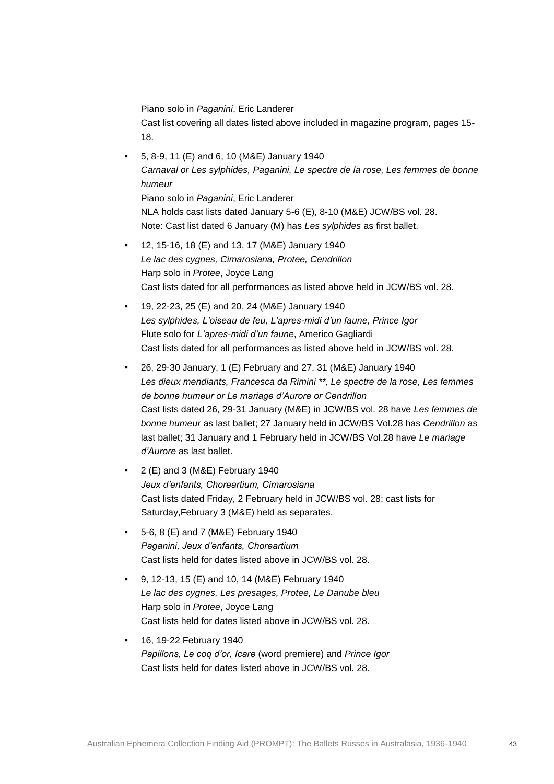Piano solo in *Paganini*, Eric Landerer

Cast list covering all dates listed above included in magazine program, pages 15- 18.

- 5, 8-9, 11 (E) and 6, 10 (M&E) January 1940 *Carnaval or Les sylphides, Paganini, Le spectre de la rose, Les femmes de bonne humeur*  Piano solo in *Paganini*, Eric Landerer NLA holds cast lists dated January 5-6 (E), 8-10 (M&E) JCW/BS vol. 28. Note: Cast list dated 6 January (M) has *Les sylphides* as first ballet.
- 12, 15-16, 18 (E) and 13, 17 (M&E) January 1940 *Le lac des cygnes, Cimarosiana, Protee, Cendrillon* Harp solo in *Protee*, Joyce Lang Cast lists dated for all performances as listed above held in JCW/BS vol. 28.
- 19, 22-23, 25 (E) and 20, 24 (M&E) January 1940 *Les sylphides, L'oiseau de feu, L'apres-midi d'un faune, Prince Igor* Flute solo for *L'apres-midi d'un faune*, Americo Gagliardi Cast lists dated for all performances as listed above held in JCW/BS vol. 28.
- 26, 29-30 January, 1 (E) February and 27, 31 (M&E) January 1940 *Les dieux mendiants, Francesca da Rimini \*\*, Le spectre de la rose, Les femmes de bonne humeur or Le mariage d'Aurore or Cendrillon*  Cast lists dated 26, 29-31 January (M&E) in JCW/BS vol. 28 have *Les femmes de bonne humeur* as last ballet; 27 January held in JCW/BS Vol.28 has *Cendrillon* as last ballet; 31 January and 1 February held in JCW/BS Vol.28 have *Le mariage d'Aurore* as last ballet.
- 2 (E) and 3 (M&E) February 1940 *Jeux d'enfants, Choreartium, Cimarosiana* Cast lists dated Friday, 2 February held in JCW/BS vol. 28; cast lists for Saturday,February 3 (M&E) held as separates.
- 5-6, 8 (E) and 7 (M&E) February 1940 *Paganini, Jeux d'enfants, Choreartium* Cast lists held for dates listed above in JCW/BS vol. 28.
- 9, 12-13, 15 (E) and 10, 14 (M&E) February 1940 *Le lac des cygnes, Les presages, Protee, Le Danube bleu* Harp solo in *Protee*, Joyce Lang Cast lists held for dates listed above in JCW/BS vol. 28.
- 16, 19-22 February 1940 *Papillons, Le coq d'or, Icare* (word premiere) and *Prince Igor* Cast lists held for dates listed above in JCW/BS vol. 28.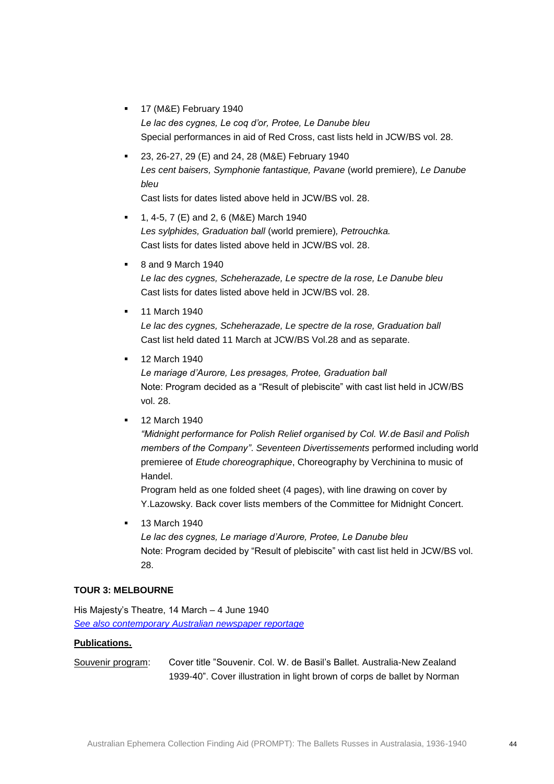- 17 (M&E) February 1940 *Le lac des cygnes, Le coq d'or, Protee, Le Danube bleu* Special performances in aid of Red Cross, cast lists held in JCW/BS vol. 28.
- 23, 26-27, 29 (E) and 24, 28 (M&E) February 1940 *Les cent baisers, Symphonie fantastique, Pavane* (world premiere)*, Le Danube bleu*

Cast lists for dates listed above held in JCW/BS vol. 28.

- 1, 4-5, 7 (E) and 2, 6 (M&E) March 1940 *Les sylphides, Graduation ball* (world premiere)*, Petrouchka.* Cast lists for dates listed above held in JCW/BS vol. 28.
- 8 and 9 March 1940 *Le lac des cygnes, Scheherazade, Le spectre de la rose, Le Danube bleu*  Cast lists for dates listed above held in JCW/BS vol. 28.
- 11 March 1940 *Le lac des cygnes, Scheherazade, Le spectre de la rose, Graduation ball*  Cast list held dated 11 March at JCW/BS Vol.28 and as separate.
- 12 March 1940

*Le mariage d'Aurore, Les presages, Protee, Graduation ball*  Note: Program decided as a "Result of plebiscite" with cast list held in JCW/BS vol. 28.

12 March 1940

*"Midnight performance for Polish Relief organised by Col. W.de Basil and Polish members of the Company"*. *Seventeen Divertissements* performed including world premieree of *Etude choreographique*, Choreography by Verchinina to music of Handel.

Program held as one folded sheet (4 pages), with line drawing on cover by Y.Lazowsky. Back cover lists members of the Committee for Midnight Concert.

13 March 1940

*Le lac des cygnes, Le mariage d'Aurore, Protee, Le Danube bleu* Note: Program decided by "Result of plebiscite" with cast list held in JCW/BS vol. 28.

### **TOUR 3: MELBOURNE**

His Majesty's Theatre, 14 March – 4 June 1940 *[See also contemporary Australian newspaper reportage](http://trove.nla.gov.au/newspaper/result?q=%22de+Basil%22+melbourne&l-decade=194&l-year=1940)*

### **Publications.**

Souvenir program: Cover title "Souvenir. Col. W. de Basil's Ballet. Australia-New Zealand 1939-40". Cover illustration in light brown of corps de ballet by Norman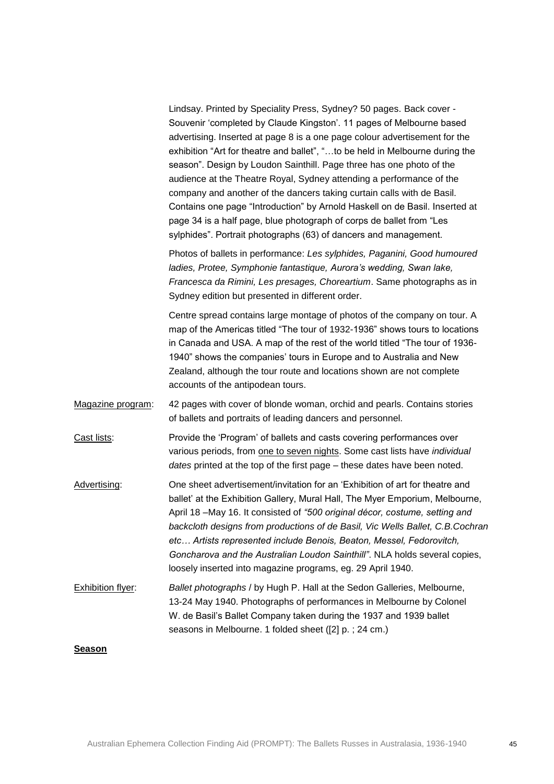| Lindsay. Printed by Speciality Press, Sydney? 50 pages. Back cover -         |
|------------------------------------------------------------------------------|
| Souvenir 'completed by Claude Kingston'. 11 pages of Melbourne based         |
| advertising. Inserted at page 8 is a one page colour advertisement for the   |
| exhibition "Art for theatre and ballet", "to be held in Melbourne during the |
| season". Design by Loudon Sainthill. Page three has one photo of the         |
| audience at the Theatre Royal, Sydney attending a performance of the         |
| company and another of the dancers taking curtain calls with de Basil.       |
| Contains one page "Introduction" by Arnold Haskell on de Basil. Inserted at  |
| page 34 is a half page, blue photograph of corps de ballet from "Les         |
| sylphides". Portrait photographs (63) of dancers and management.             |

Photos of ballets in performance: *Les sylphides, Paganini, Good humoured ladies, Protee, Symphonie fantastique, Aurora's wedding, Swan lake, Francesca da Rimini, Les presages, Choreartium*. Same photographs as in Sydney edition but presented in different order.

Centre spread contains large montage of photos of the company on tour. A map of the Americas titled "The tour of 1932-1936" shows tours to locations in Canada and USA. A map of the rest of the world titled "The tour of 1936- 1940" shows the companies' tours in Europe and to Australia and New Zealand, although the tour route and locations shown are not complete accounts of the antipodean tours.

- Magazine program: 42 pages with cover of blonde woman, orchid and pearls. Contains stories of ballets and portraits of leading dancers and personnel.
- Cast lists: Provide the 'Program' of ballets and casts covering performances over various periods, from one to seven nights. Some cast lists have *individual dates* printed at the top of the first page – these dates have been noted.
- Advertising: One sheet advertisement/invitation for an 'Exhibition of art for theatre and ballet' at the Exhibition Gallery, Mural Hall, The Myer Emporium, Melbourne, April 18 –May 16. It consisted of *"500 original décor, costume, setting and backcloth designs from productions of de Basil, Vic Wells Ballet, C.B.Cochran etc… Artists represented include Benois, Beaton, Messel, Fedorovitch, Goncharova and the Australian Loudon Sainthill"*. NLA holds several copies, loosely inserted into magazine programs, eg. 29 April 1940.
- Exhibition flyer: *Ballet photographs* / by Hugh P. Hall at the Sedon Galleries, Melbourne, 13-24 May 1940. Photographs of performances in Melbourne by Colonel W. de Basil's Ballet Company taken during the 1937 and 1939 ballet seasons in Melbourne. 1 folded sheet ([2] p. ; 24 cm.)

### **Season**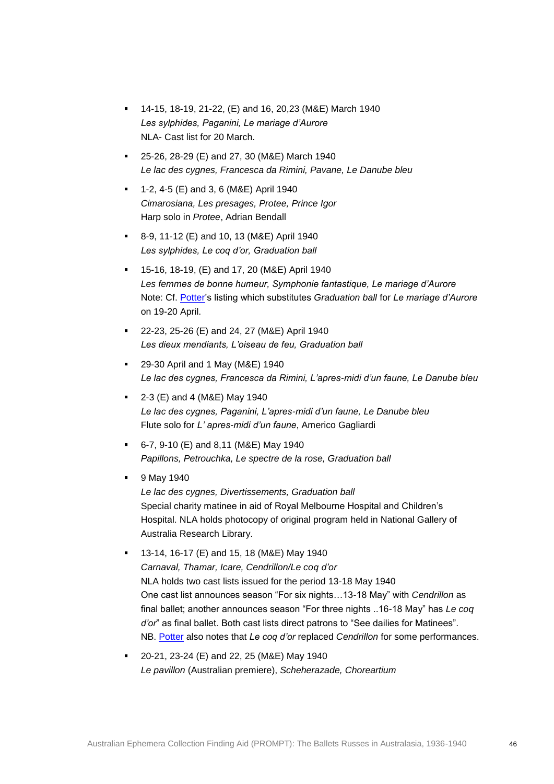- 14-15, 18-19, 21-22, (E) and 16, 20,23 (M&E) March 1940 *Les sylphides, Paganini, Le mariage d'Aurore* NLA- Cast list for 20 March.
- **25-26, 28-29 (E) and 27, 30 (M&E) March 1940** *Le lac des cygnes, Francesca da Rimini, Pavane, Le Danube bleu*
- $1-2$ , 4-5 (E) and 3, 6 (M&E) April 1940 *Cimarosiana, Les presages, Protee, Prince Igor*  Harp solo in *Protee*, Adrian Bendall
- 8-9, 11-12 (E) and 10, 13 (M&E) April 1940 *Les sylphides, Le coq d'or, Graduation ball*
- 15-16, 18-19, (E) and 17, 20 (M&E) April 1940 *Les femmes de bonne humeur, Symphonie fantastique, Le mariage d'Aurore*  Note: Cf. [Potter's](http://nla.gov.au/anbd.bib-an11845459) listing which substitutes *Graduation ball* for *Le mariage d'Aurore* on 19-20 April.
- 22-23, 25-26 (E) and 24, 27 (M&E) April 1940 *Les dieux mendiants, L'oiseau de feu, Graduation ball*
- 29-30 April and 1 May (M&E) 1940 *Le lac des cygnes, Francesca da Rimini, L'apres-midi d'un faune, Le Danube bleu*
- $= 2-3$  (E) and 4 (M&E) May 1940 *Le lac des cygnes, Paganini, L'apres-midi d'un faune, Le Danube bleu* Flute solo for *L' apres-midi d'un faune*, Americo Gagliardi
- $-6$ -7, 9-10 (E) and 8,11 (M&E) May 1940 *Papillons, Petrouchka, Le spectre de la rose, Graduation ball*
- **9 May 1940**

*Le lac des cygnes, Divertissements, Graduation ball* Special charity matinee in aid of Royal Melbourne Hospital and Children's Hospital. NLA holds photocopy of original program held in National Gallery of Australia Research Library.

- 13-14, 16-17 (E) and 15, 18 (M&E) May 1940 *Carnaval, Thamar, Icare, Cendrillon/Le coq d'or* NLA holds two cast lists issued for the period 13-18 May 1940 One cast list announces season "For six nights…13-18 May" with *Cendrillon* as final ballet; another announces season "For three nights ..16-18 May" has *Le coq d'or*" as final ballet. Both cast lists direct patrons to "See dailies for Matinees". NB. [Potter](http://nla.gov.au/anbd.bib-an11845459) also notes that *Le coq d'or* replaced *Cendrillon* for some performances.
- 20-21, 23-24 (E) and 22, 25 (M&E) May 1940 *Le pavillon* (Australian premiere), *Scheherazade, Choreartium*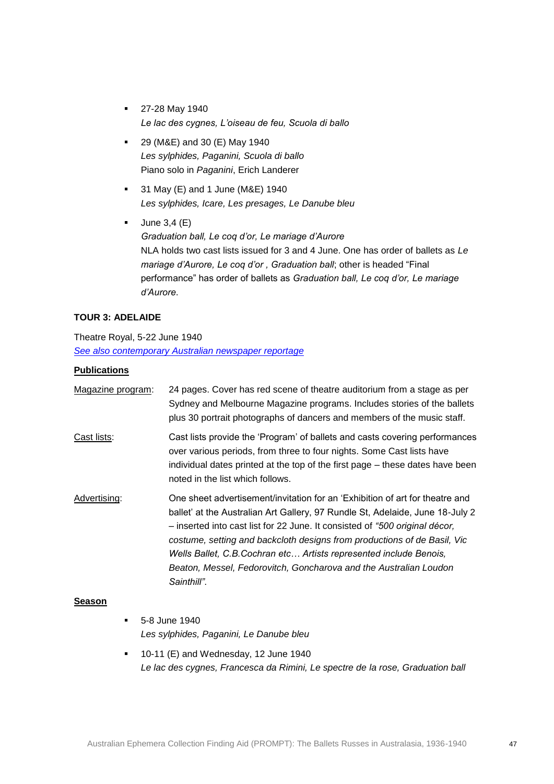- **27-28 May 1940** *Le lac des cygnes, L'oiseau de feu, Scuola di ballo*
- 29 (M&E) and 30 (E) May 1940 *Les sylphides, Paganini, Scuola di ballo* Piano solo in *Paganini*, Erich Landerer
- 31 May (E) and 1 June (M&E) 1940 *Les sylphides, Icare, Les presages, Le Danube bleu*
- $-$  June 3,4 (E) *Graduation ball, Le coq d'or, Le mariage d'Aurore* NLA holds two cast lists issued for 3 and 4 June. One has order of ballets as *Le mariage d'Aurore, Le coq d'or , Graduation ball*; other is headed "Final performance" has order of ballets as *Graduation ball, Le coq d'or, Le mariage d'Aurore*.

### **TOUR 3: ADELAIDE**

Theatre Royal, 5-22 June 1940 *[See also contemporary Australian newspaper reportage](http://trove.nla.gov.au/newspaper/result?l-decade=194&l-year=1940&q=%22de+Basil%22+adelaide&l-month=06)*

#### **Publications**

| Magazine program: | 24 pages. Cover has red scene of theatre auditorium from a stage as per<br>Sydney and Melbourne Magazine programs. Includes stories of the ballets<br>plus 30 portrait photographs of dancers and members of the music staff.                                                                                                                                                                                                                                                      |
|-------------------|------------------------------------------------------------------------------------------------------------------------------------------------------------------------------------------------------------------------------------------------------------------------------------------------------------------------------------------------------------------------------------------------------------------------------------------------------------------------------------|
| Cast lists:       | Cast lists provide the 'Program' of ballets and casts covering performances<br>over various periods, from three to four nights. Some Cast lists have<br>individual dates printed at the top of the first page – these dates have been<br>noted in the list which follows.                                                                                                                                                                                                          |
| Advertising:      | One sheet advertisement/invitation for an 'Exhibition of art for theatre and<br>ballet' at the Australian Art Gallery, 97 Rundle St, Adelaide, June 18-July 2<br>- inserted into cast list for 22 June. It consisted of "500 original décor,<br>costume, setting and backcloth designs from productions of de Basil, Vic<br>Wells Ballet, C.B. Cochran etc Artists represented include Benois,<br>Beaton, Messel, Fedorovitch, Goncharova and the Australian Loudon<br>Sainthill". |

### **Season**

- **5-8 June 1940** *Les sylphides, Paganini, Le Danube bleu*
- **10-11 (E) and Wednesday, 12 June 1940** *Le lac des cygnes, Francesca da Rimini, Le spectre de la rose, Graduation ball*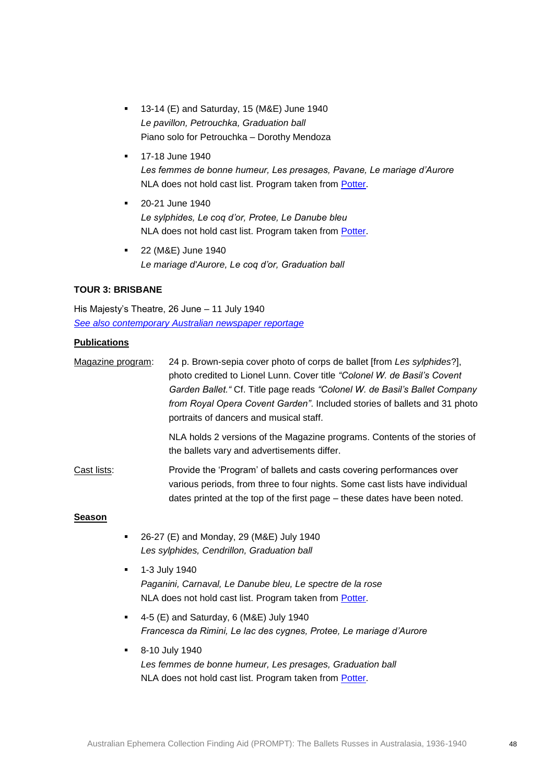- 13-14 (E) and Saturday, 15 (M&E) June 1940 *Le pavillon, Petrouchka, Graduation ball* Piano solo for Petrouchka – Dorothy Mendoza
- 17-18 June 1940 *Les femmes de bonne humeur, Les presages, Pavane, Le mariage d'Aurore* NLA does not hold cast list. Program taken from [Potter.](http://nla.gov.au/anbd.bib-an11845459)
- 20-21 June 1940 *Le sylphides, Le coq d'or, Protee, Le Danube bleu*  NLA does not hold cast list. Program taken from [Potter.](http://nla.gov.au/anbd.bib-an11845459)
- 22 (M&E) June 1940 *Le mariage d'Aurore, Le coq d'or, Graduation ball*

### **TOUR 3: BRISBANE**

His Majesty's Theatre, 26 June – 11 July 1940 *[See also contemporary Australian newspaper reportage](http://trove.nla.gov.au/newspaper/result?l-decade=194&l-year=1940&q=%22de+Basil%22+brisbane)*

#### **Publications**

Magazine program: 24 p. Brown-sepia cover photo of corps de ballet [from *Les sylphides*?], photo credited to Lionel Lunn. Cover title *"Colonel W. de Basil's Covent Garden Ballet."* Cf. Title page reads *"Colonel W. de Basil's Ballet Company from Royal Opera Covent Garden"*. Included stories of ballets and 31 photo portraits of dancers and musical staff.

> NLA holds 2 versions of the Magazine programs. Contents of the stories of the ballets vary and advertisements differ.

Cast lists: Provide the 'Program' of ballets and casts covering performances over various periods, from three to four nights. Some cast lists have individual dates printed at the top of the first page – these dates have been noted.

### **Season**

- 26-27 (E) and Monday, 29 (M&E) July 1940 *Les sylphides, Cendrillon, Graduation ball*
- 1-3 July 1940 *Paganini, Carnaval, Le Danube bleu, Le spectre de la rose* NLA does not hold cast list. Program taken from [Potter.](http://nla.gov.au/anbd.bib-an11845459)
- 4-5 (E) and Saturday, 6 (M&E) July 1940 *Francesca da Rimini, Le lac des cygnes, Protee, Le mariage d'Aurore*
- **8-10 July 1940** *Les femmes de bonne humeur, Les presages, Graduation ball*  NLA does not hold cast list. Program taken from [Potter.](http://nla.gov.au/anbd.bib-an11845459)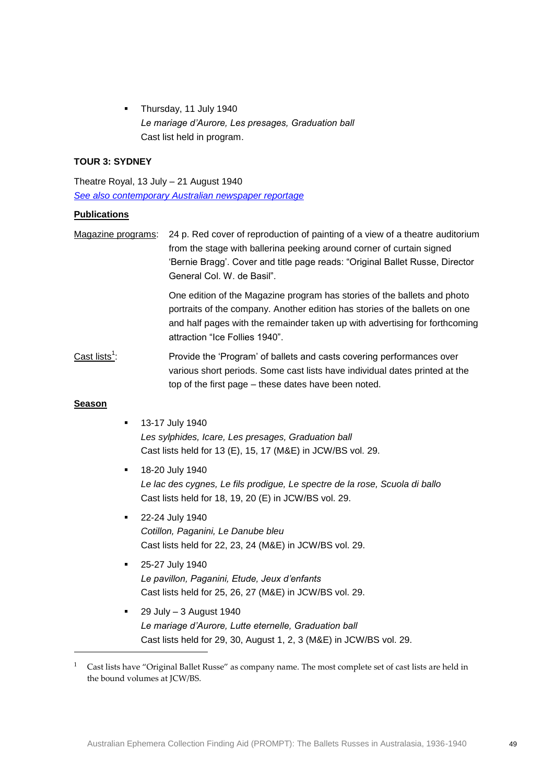Thursday, 11 July 1940 *Le mariage d'Aurore, Les presages, Graduation ball* Cast list held in program.

### **TOUR 3: SYDNEY**

Theatre Royal, 13 July – 21 August 1940 *[See also contemporary Australian newspaper reportage](http://trove.nla.gov.au/newspaper/result?l-decade=194&l-year=1940&q=%22de+Basil%22+sydney)*

#### **Publications**

Magazine programs: 24 p. Red cover of reproduction of painting of a view of a theatre auditorium from the stage with ballerina peeking around corner of curtain signed 'Bernie Bragg'. Cover and title page reads: "Original Ballet Russe, Director General Col. W. de Basil".

> One edition of the Magazine program has stories of the ballets and photo portraits of the company. Another edition has stories of the ballets on one and half pages with the remainder taken up with advertising for forthcoming attraction "Ice Follies 1940".

Cast lists $1$ : : Provide the 'Program' of ballets and casts covering performances over various short periods. Some cast lists have individual dates printed at the top of the first page – these dates have been noted.

#### **Season**

1

- 13-17 July 1940 *Les sylphides, Icare, Les presages, Graduation ball* Cast lists held for 13 (E), 15, 17 (M&E) in JCW/BS vol. 29.
- 18-20 July 1940 *Le lac des cygnes, Le fils prodigue, Le spectre de la rose, Scuola di ballo*  Cast lists held for 18, 19, 20 (E) in JCW/BS vol. 29.
- 22-24 July 1940 *Cotillon, Paganini, Le Danube bleu* Cast lists held for 22, 23, 24 (M&E) in JCW/BS vol. 29.
- **25-27 July 1940** *Le pavillon, Paganini, Etude, Jeux d'enfants*  Cast lists held for 25, 26, 27 (M&E) in JCW/BS vol. 29.
- 29 July 3 August 1940 *Le mariage d'Aurore, Lutte eternelle, Graduation ball* Cast lists held for 29, 30, August 1, 2, 3 (M&E) in JCW/BS vol. 29.

 $1$  Cast lists have "Original Ballet Russe" as company name. The most complete set of cast lists are held in the bound volumes at JCW/BS.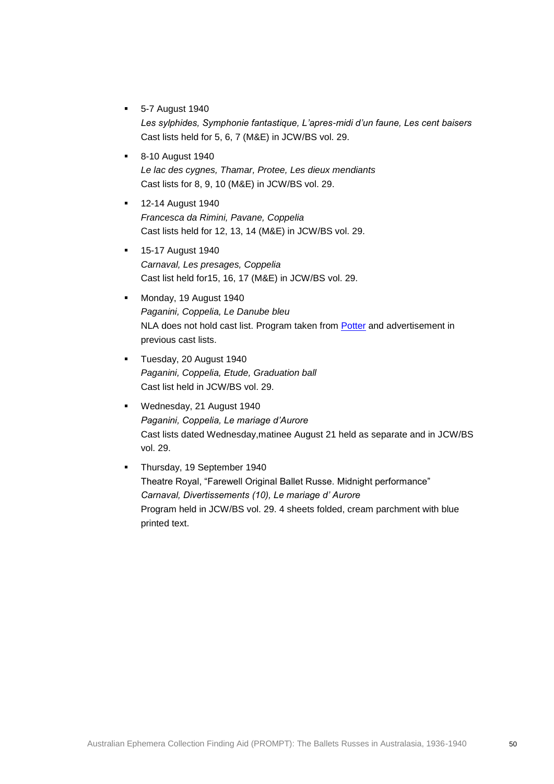- 5-7 August 1940 *Les sylphides, Symphonie fantastique, L'apres-midi d'un faune, Les cent baisers* Cast lists held for 5, 6, 7 (M&E) in JCW/BS vol. 29.
- 8-10 August 1940 *Le lac des cygnes, Thamar, Protee, Les dieux mendiants* Cast lists for 8, 9, 10 (M&E) in JCW/BS vol. 29.
- **12-14 August 1940** *Francesca da Rimini, Pavane, Coppelia*  Cast lists held for 12, 13, 14 (M&E) in JCW/BS vol. 29.
- **15-17 August 1940** *Carnaval, Les presages, Coppelia*  Cast list held for15, 16, 17 (M&E) in JCW/BS vol. 29.
- **Monday, 19 August 1940** *Paganini, Coppelia, Le Danube bleu*  NLA does not hold cast list. Program taken from [Potter](http://nla.gov.au/anbd.bib-an11845459) and advertisement in previous cast lists.
- **Tuesday, 20 August 1940** *Paganini, Coppelia, Etude, Graduation ball*  Cast list held in JCW/BS vol. 29.
- Wednesday, 21 August 1940 *Paganini, Coppelia, Le mariage d'Aurore*  Cast lists dated Wednesday,matinee August 21 held as separate and in JCW/BS vol. 29.
- **Thursday, 19 September 1940** Theatre Royal, "Farewell Original Ballet Russe. Midnight performance" *Carnaval, Divertissements (10), Le mariage d' Aurore* Program held in JCW/BS vol. 29. 4 sheets folded, cream parchment with blue printed text.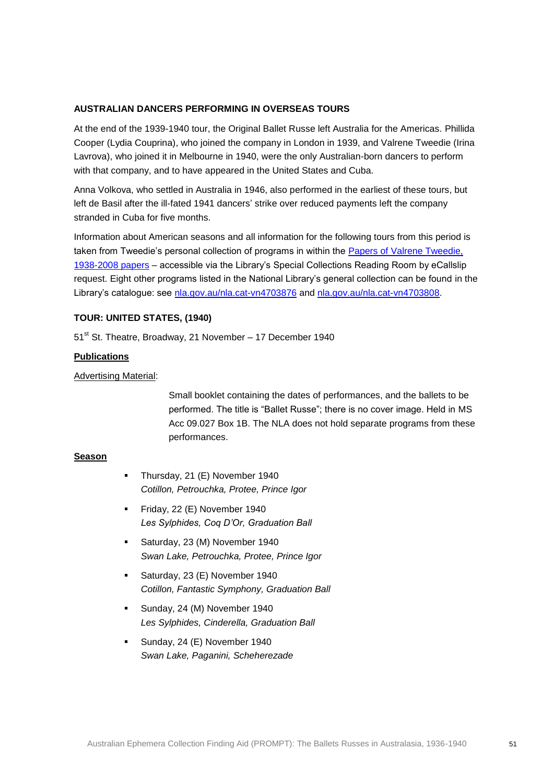### **AUSTRALIAN DANCERS PERFORMING IN OVERSEAS TOURS**

At the end of the 1939-1940 tour, the Original Ballet Russe left Australia for the Americas. Phillida Cooper (Lydia Couprina), who joined the company in London in 1939, and Valrene Tweedie (Irina Lavrova), who joined it in Melbourne in 1940, were the only Australian-born dancers to perform with that company, and to have appeared in the United States and Cuba.

Anna Volkova, who settled in Australia in 1946, also performed in the earliest of these tours, but left de Basil after the ill-fated 1941 dancers' strike over reduced payments left the company stranded in Cuba for five months.

Information about American seasons and all information for the following tours from this period is taken from Tweedie's personal collection of programs in within the [Papers of Valrene Tweedie,](http://catalogue.nla.gov.au/Record/4700520?lookfor=valrene%20tweedie%20%7bformat:Manuscript%7d&offset=1&max=5nla.cat-vn4700520)  [1938-2008](http://catalogue.nla.gov.au/Record/4700520?lookfor=valrene%20tweedie%20%7bformat:Manuscript%7d&offset=1&max=5nla.cat-vn4700520) papers – accessible via the Library's Special Collections Reading Room by eCallslip request. Eight other programs listed in the National Library's general collection can be found in the Library's catalogue: see [nla.gov.au/nla.cat-vn4703876](http://nla.gov.au/nla.cat-vn4703876) and [nla.gov.au/nla.cat-vn4703808.](http://nla.gov.au/nla.cat-vn4703808)

### **TOUR: UNITED STATES, (1940)**

51<sup>st</sup> St. Theatre, Broadway, 21 November – 17 December 1940

### **Publications**

Advertising Material:

Small booklet containing the dates of performances, and the ballets to be performed. The title is "Ballet Russe"; there is no cover image. Held in MS Acc 09.027 Box 1B. The NLA does not hold separate programs from these performances.

#### **Season**

- Thursday, 21 (E) November 1940 *Cotillon, Petrouchka, Protee, Prince Igor*
- Friday, 22 (E) November 1940 *Les Sylphides, Coq D'Or, Graduation Ball*
- Saturday, 23 (M) November 1940 *Swan Lake, Petrouchka, Protee, Prince Igor*
- Saturday, 23 (E) November 1940 *Cotillon, Fantastic Symphony, Graduation Ball*
- Sunday, 24 (M) November 1940 *Les Sylphides, Cinderella, Graduation Ball*
- Sunday, 24 (E) November 1940 *Swan Lake, Paganini, Scheherezade*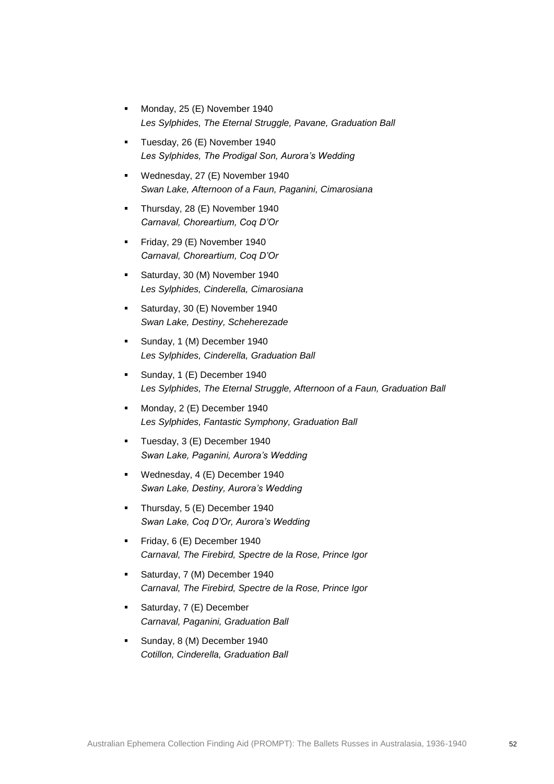- Monday, 25 (E) November 1940 *Les Sylphides, The Eternal Struggle, Pavane, Graduation Ball*
- Tuesday, 26 (E) November 1940 *Les Sylphides, The Prodigal Son, Aurora's Wedding*
- Wednesday, 27 (E) November 1940 *Swan Lake, Afternoon of a Faun, Paganini, Cimarosiana*
- Thursday, 28 (E) November 1940 *Carnaval, Choreartium, Coq D'Or*
- Friday, 29 (E) November 1940 *Carnaval, Choreartium, Coq D'Or*
- Saturday, 30 (M) November 1940 *Les Sylphides, Cinderella, Cimarosiana*
- **Saturday, 30 (E) November 1940** *Swan Lake, Destiny, Scheherezade*
- Sunday, 1 (M) December 1940 *Les Sylphides, Cinderella, Graduation Ball*
- Sunday, 1 (E) December 1940 *Les Sylphides, The Eternal Struggle, Afternoon of a Faun, Graduation Ball*
- Monday, 2 (E) December 1940 *Les Sylphides, Fantastic Symphony, Graduation Ball*
- Tuesday, 3 (E) December 1940 *Swan Lake, Paganini, Aurora's Wedding*
- **Wednesday, 4 (E) December 1940** *Swan Lake, Destiny, Aurora's Wedding*
- Thursday, 5 (E) December 1940 *Swan Lake, Coq D'Or, Aurora's Wedding*
- Friday, 6 (E) December 1940 *Carnaval, The Firebird, Spectre de la Rose, Prince Igor*
- Saturday, 7 (M) December 1940 *Carnaval, The Firebird, Spectre de la Rose, Prince Igor*
- Saturday, 7 (E) December *Carnaval, Paganini, Graduation Ball*
- Sunday, 8 (M) December 1940 *Cotillon, Cinderella, Graduation Ball*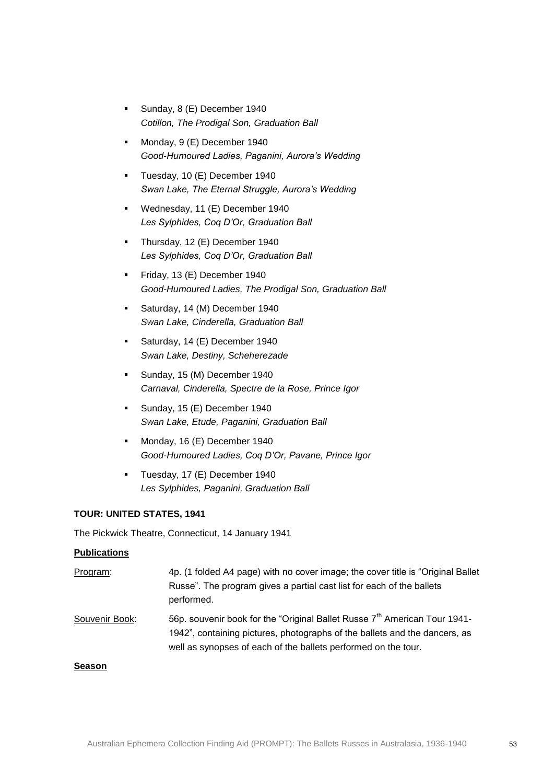- Sunday, 8 (E) December 1940 *Cotillon, The Prodigal Son, Graduation Ball*
- Monday, 9 (E) December 1940 *Good-Humoured Ladies, Paganini, Aurora's Wedding*
- Tuesday, 10 (E) December 1940 *Swan Lake, The Eternal Struggle, Aurora's Wedding*
- Wednesday, 11 (E) December 1940 *Les Sylphides, Coq D'Or, Graduation Ball*
- Thursday, 12 (E) December 1940 *Les Sylphides, Coq D'Or, Graduation Ball*
- Friday, 13 (E) December 1940 *Good-Humoured Ladies, The Prodigal Son, Graduation Ball*
- **Saturday, 14 (M) December 1940** *Swan Lake, Cinderella, Graduation Ball*
- Saturday, 14 (E) December 1940 *Swan Lake, Destiny, Scheherezade*
- Sunday, 15 (M) December 1940 *Carnaval, Cinderella, Spectre de la Rose, Prince Igor*
- Sunday, 15 (E) December 1940 *Swan Lake, Etude, Paganini, Graduation Ball*
- Monday, 16 (E) December 1940 *Good-Humoured Ladies, Coq D'Or, Pavane, Prince Igor*
- Tuesday, 17 (E) December 1940 *Les Sylphides, Paganini, Graduation Ball*

The Pickwick Theatre, Connecticut, 14 January 1941

### **Publications**

Program: 4p. (1 folded A4 page) with no cover image; the cover title is "Original Ballet Russe". The program gives a partial cast list for each of the ballets performed. Souvenir Book:  $56p.$  souvenir book for the "Original Ballet Russe  $7<sup>th</sup>$  American Tour 1941-1942", containing pictures, photographs of the ballets and the dancers, as

well as synopses of each of the ballets performed on the tour.

#### **Season**

Australian Ephemera Collection Finding Aid (PROMPT): The Ballets Russes in Australasia, 1936-1940 53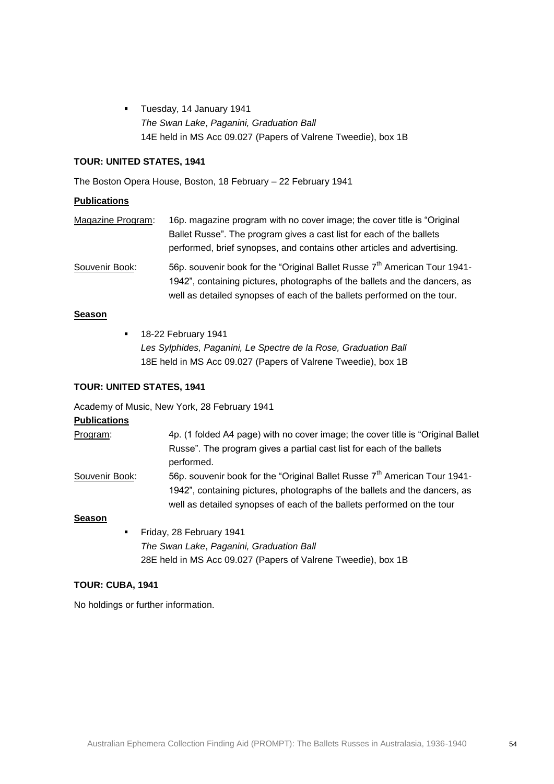**Tuesday, 14 January 1941** *The Swan Lake*, *Paganini, Graduation Ball* 14E held in MS Acc 09.027 (Papers of Valrene Tweedie), box 1B

### **TOUR: UNITED STATES, 1941**

The Boston Opera House, Boston, 18 February – 22 February 1941

### **Publications**

| Magazine Program: | 16p. magazine program with no cover image; the cover title is "Original"              |
|-------------------|---------------------------------------------------------------------------------------|
|                   | Ballet Russe". The program gives a cast list for each of the ballets                  |
|                   | performed, brief synopses, and contains other articles and advertising.               |
| Souvenir Book:    | 56p. souvenir book for the "Original Ballet Russe 7 <sup>th</sup> American Tour 1941- |

1942", containing pictures, photographs of the ballets and the dancers, as well as detailed synopses of each of the ballets performed on the tour.

# **Season**

**18-22 February 1941** *Les Sylphides, Paganini, Le Spectre de la Rose, Graduation Ball* 18E held in MS Acc 09.027 (Papers of Valrene Tweedie), box 1B

### **TOUR: UNITED STATES, 1941**

Academy of Music, New York, 28 February 1941

# **Publications**

| Program:       | 4p. (1 folded A4 page) with no cover image; the cover title is "Original Ballet                                                                                                                                                               |
|----------------|-----------------------------------------------------------------------------------------------------------------------------------------------------------------------------------------------------------------------------------------------|
|                | Russe". The program gives a partial cast list for each of the ballets<br>performed.                                                                                                                                                           |
| Souvenir Book: | 56p. souvenir book for the "Original Ballet Russe 7 <sup>th</sup> American Tour 1941-<br>1942", containing pictures, photographs of the ballets and the dancers, as<br>well as detailed synopses of each of the ballets performed on the tour |

### **Season**

Friday, 28 February 1941 *The Swan Lake*, *Paganini, Graduation Ball* 28E held in MS Acc 09.027 (Papers of Valrene Tweedie), box 1B

### **TOUR: CUBA, 1941**

No holdings or further information.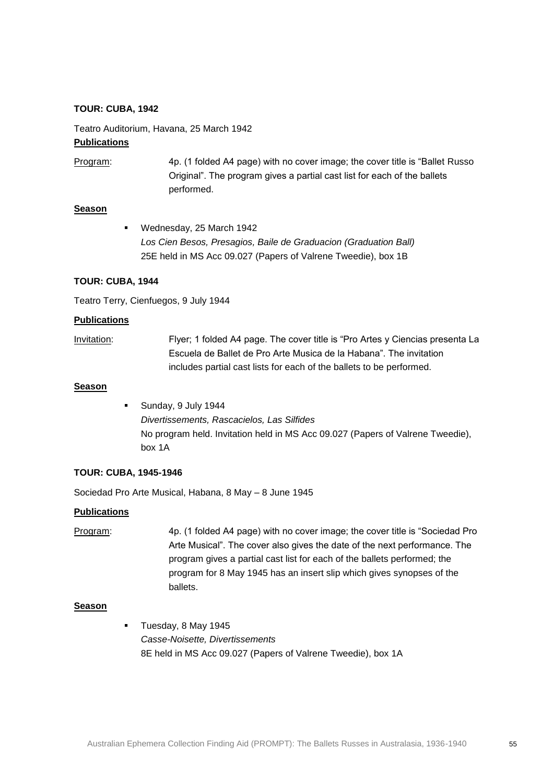#### **TOUR: CUBA, 1942**

Teatro Auditorium, Havana, 25 March 1942

#### **Publications**

Program: 4p. (1 folded A4 page) with no cover image; the cover title is "Ballet Russo Original". The program gives a partial cast list for each of the ballets performed.

### **Season**

 Wednesday, 25 March 1942 *Los Cien Besos, Presagios, Baile de Graduacion (Graduation Ball)* 25E held in MS Acc 09.027 (Papers of Valrene Tweedie), box 1B

### **TOUR: CUBA, 1944**

Teatro Terry, Cienfuegos, 9 July 1944

#### **Publications**

Invitation: Flyer; 1 folded A4 page. The cover title is "Pro Artes y Ciencias presenta La Escuela de Ballet de Pro Arte Musica de la Habana". The invitation includes partial cast lists for each of the ballets to be performed.

#### **Season**

 Sunday, 9 July 1944 *Divertissements, Rascacielos, Las Silfides* No program held. Invitation held in MS Acc 09.027 (Papers of Valrene Tweedie), box 1A

### **TOUR: CUBA, 1945-1946**

Sociedad Pro Arte Musical, Habana, 8 May – 8 June 1945

#### **Publications**

| Program: | 4p. (1 folded A4 page) with no cover image; the cover title is "Sociedad Pro |
|----------|------------------------------------------------------------------------------|
|          | Arte Musical". The cover also gives the date of the next performance. The    |
|          | program gives a partial cast list for each of the ballets performed; the     |
|          | program for 8 May 1945 has an insert slip which gives synopses of the        |
|          | ballets.                                                                     |

#### **Season**

 Tuesday, 8 May 1945 *Casse-Noisette, Divertissements* 8E held in MS Acc 09.027 (Papers of Valrene Tweedie), box 1A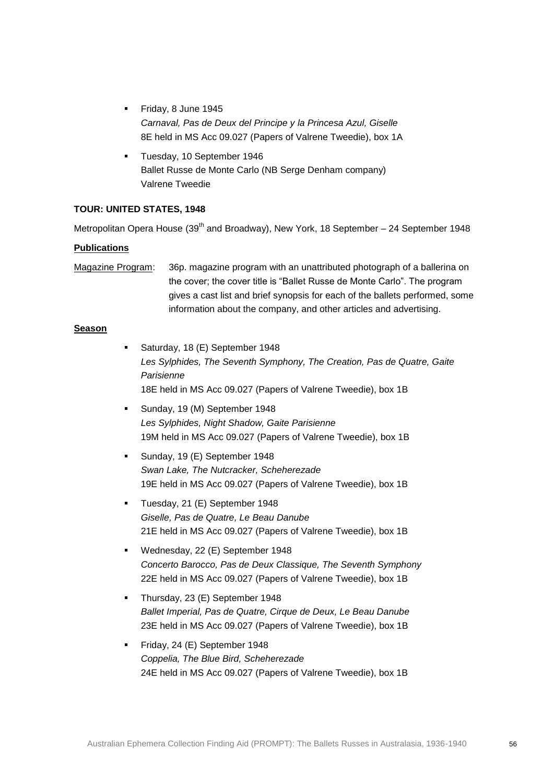- Friday, 8 June 1945 *Carnaval, Pas de Deux del Principe y la Princesa Azul, Giselle* 8E held in MS Acc 09.027 (Papers of Valrene Tweedie), box 1A
- Tuesday, 10 September 1946 Ballet Russe de Monte Carlo (NB Serge Denham company) Valrene Tweedie

Metropolitan Opera House (39<sup>th</sup> and Broadway), New York, 18 September – 24 September 1948

### **Publications**

Magazine Program: 36p. magazine program with an unattributed photograph of a ballerina on the cover; the cover title is "Ballet Russe de Monte Carlo". The program gives a cast list and brief synopsis for each of the ballets performed, some information about the company, and other articles and advertising.

### **Season**

- **Saturday, 18 (E) September 1948** *Les Sylphides, The Seventh Symphony, The Creation, Pas de Quatre, Gaite Parisienne* 18E held in MS Acc 09.027 (Papers of Valrene Tweedie), box 1B
- Sunday, 19 (M) September 1948 *Les Sylphides, Night Shadow, Gaite Parisienne* 19M held in MS Acc 09.027 (Papers of Valrene Tweedie), box 1B
- Sunday, 19 (E) September 1948 *Swan Lake, The Nutcracker, Scheherezade* 19E held in MS Acc 09.027 (Papers of Valrene Tweedie), box 1B
- **Tuesday, 21 (E) September 1948** *Giselle, Pas de Quatre, Le Beau Danube* 21E held in MS Acc 09.027 (Papers of Valrene Tweedie), box 1B
- Wednesday, 22 (E) September 1948 *Concerto Barocco, Pas de Deux Classique, The Seventh Symphony* 22E held in MS Acc 09.027 (Papers of Valrene Tweedie), box 1B
- Thursday, 23 (E) September 1948 *Ballet Imperial, Pas de Quatre, Cirque de Deux, Le Beau Danube* 23E held in MS Acc 09.027 (Papers of Valrene Tweedie), box 1B
- Friday, 24 (E) September 1948 *Coppelia, The Blue Bird, Scheherezade* 24E held in MS Acc 09.027 (Papers of Valrene Tweedie), box 1B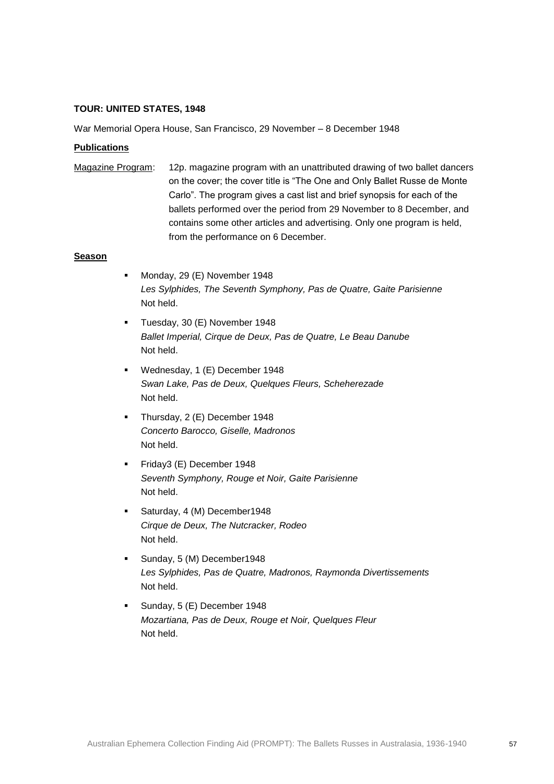War Memorial Opera House, San Francisco, 29 November – 8 December 1948

### **Publications**

Magazine Program: 12p. magazine program with an unattributed drawing of two ballet dancers on the cover; the cover title is "The One and Only Ballet Russe de Monte Carlo". The program gives a cast list and brief synopsis for each of the ballets performed over the period from 29 November to 8 December, and contains some other articles and advertising. Only one program is held, from the performance on 6 December.

### **Season**

- Monday, 29 (E) November 1948 *Les Sylphides, The Seventh Symphony, Pas de Quatre, Gaite Parisienne* Not held.
- Tuesday, 30 (E) November 1948 *Ballet Imperial, Cirque de Deux, Pas de Quatre, Le Beau Danube* Not held.
- Wednesday, 1 (E) December 1948 *Swan Lake, Pas de Deux, Quelques Fleurs, Scheherezade* Not held.
- Thursday, 2 (E) December 1948 *Concerto Barocco, Giselle, Madronos* Not held.
- Friday3 (E) December 1948 *Seventh Symphony, Rouge et Noir, Gaite Parisienne* Not held.
- Saturday, 4 (M) December1948 *Cirque de Deux, The Nutcracker, Rodeo* Not held.
- **Sunday, 5 (M) December1948** *Les Sylphides, Pas de Quatre, Madronos, Raymonda Divertissements* Not held.
- Sunday, 5 (E) December 1948 *Mozartiana, Pas de Deux, Rouge et Noir, Quelques Fleur* Not held.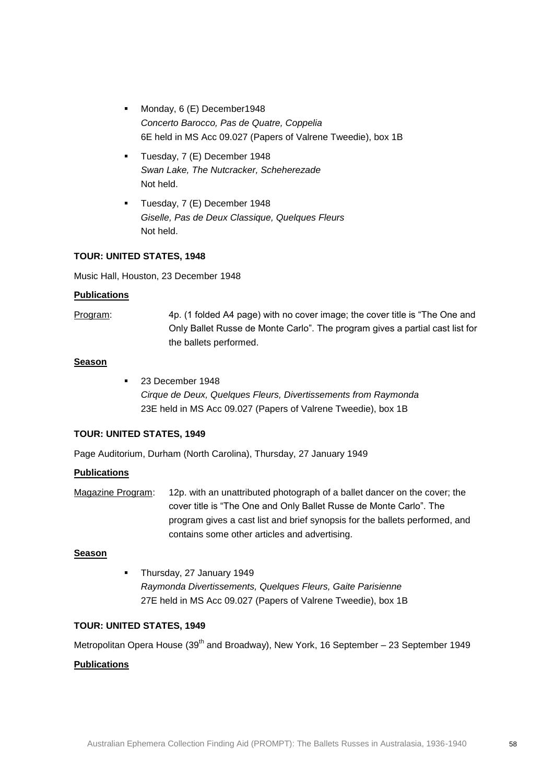- Monday, 6 (E) December1948 *Concerto Barocco, Pas de Quatre, Coppelia* 6E held in MS Acc 09.027 (Papers of Valrene Tweedie), box 1B
- Tuesday, 7 (E) December 1948 *Swan Lake, The Nutcracker, Scheherezade* Not held.
- Tuesday, 7 (E) December 1948 *Giselle, Pas de Deux Classique, Quelques Fleurs* Not held.

Music Hall, Houston, 23 December 1948

### **Publications**

Program: 4p. (1 folded A4 page) with no cover image; the cover title is "The One and Only Ballet Russe de Monte Carlo". The program gives a partial cast list for the ballets performed.

### **Season**

**23 December 1948** *Cirque de Deux, Quelques Fleurs, Divertissements from Raymonda* 23E held in MS Acc 09.027 (Papers of Valrene Tweedie), box 1B

### **TOUR: UNITED STATES, 1949**

Page Auditorium, Durham (North Carolina), Thursday, 27 January 1949

### **Publications**

Magazine Program: 12p. with an unattributed photograph of a ballet dancer on the cover; the cover title is "The One and Only Ballet Russe de Monte Carlo". The program gives a cast list and brief synopsis for the ballets performed, and contains some other articles and advertising.

### **Season**

 Thursday, 27 January 1949 *Raymonda Divertissements, Quelques Fleurs, Gaite Parisienne* 27E held in MS Acc 09.027 (Papers of Valrene Tweedie), box 1B

### **TOUR: UNITED STATES, 1949**

Metropolitan Opera House (39<sup>th</sup> and Broadway), New York, 16 September – 23 September 1949

### **Publications**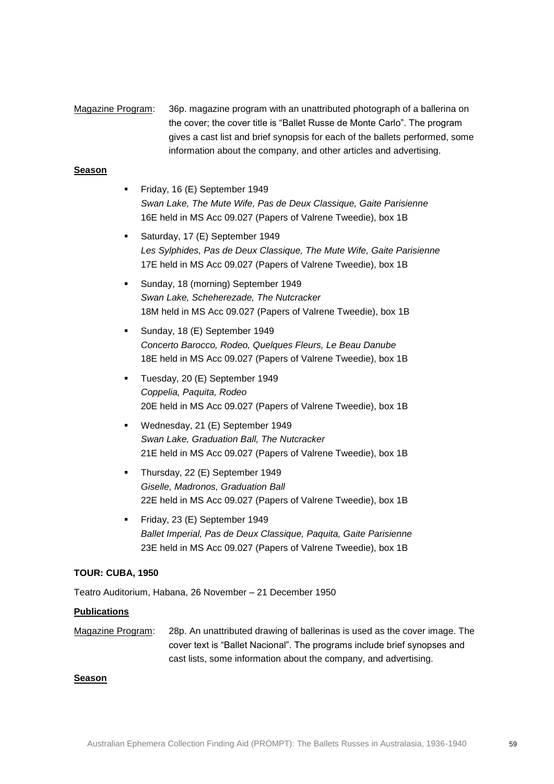# Magazine Program: 36p. magazine program with an unattributed photograph of a ballerina on the cover; the cover title is "Ballet Russe de Monte Carlo". The program gives a cast list and brief synopsis for each of the ballets performed, some information about the company, and other articles and advertising.

### **Season**

- Friday, 16 (E) September 1949 *Swan Lake, The Mute Wife, Pas de Deux Classique, Gaite Parisienne* 16E held in MS Acc 09.027 (Papers of Valrene Tweedie), box 1B
- Saturday, 17 (E) September 1949 *Les Sylphides, Pas de Deux Classique, The Mute Wife, Gaite Parisienne* 17E held in MS Acc 09.027 (Papers of Valrene Tweedie), box 1B
- Sunday, 18 (morning) September 1949 *Swan Lake, Scheherezade, The Nutcracker* 18M held in MS Acc 09.027 (Papers of Valrene Tweedie), box 1B
- Sunday, 18 (E) September 1949 *Concerto Barocco, Rodeo, Quelques Fleurs, Le Beau Danube* 18E held in MS Acc 09.027 (Papers of Valrene Tweedie), box 1B
- Tuesday, 20 (E) September 1949 *Coppelia, Paquita, Rodeo* 20E held in MS Acc 09.027 (Papers of Valrene Tweedie), box 1B
- Wednesday, 21 (E) September 1949 *Swan Lake, Graduation Ball, The Nutcracker* 21E held in MS Acc 09.027 (Papers of Valrene Tweedie), box 1B
- Thursday, 22 (E) September 1949 *Giselle, Madronos, Graduation Ball* 22E held in MS Acc 09.027 (Papers of Valrene Tweedie), box 1B
- Friday, 23 (E) September 1949 *Ballet Imperial, Pas de Deux Classique, Paquita, Gaite Parisienne* 23E held in MS Acc 09.027 (Papers of Valrene Tweedie), box 1B

### **TOUR: CUBA, 1950**

Teatro Auditorium, Habana, 26 November – 21 December 1950

### **Publications**

Magazine Program: 28p. An unattributed drawing of ballerinas is used as the cover image. The cover text is "Ballet Nacional". The programs include brief synopses and cast lists, some information about the company, and advertising.

#### **Season**